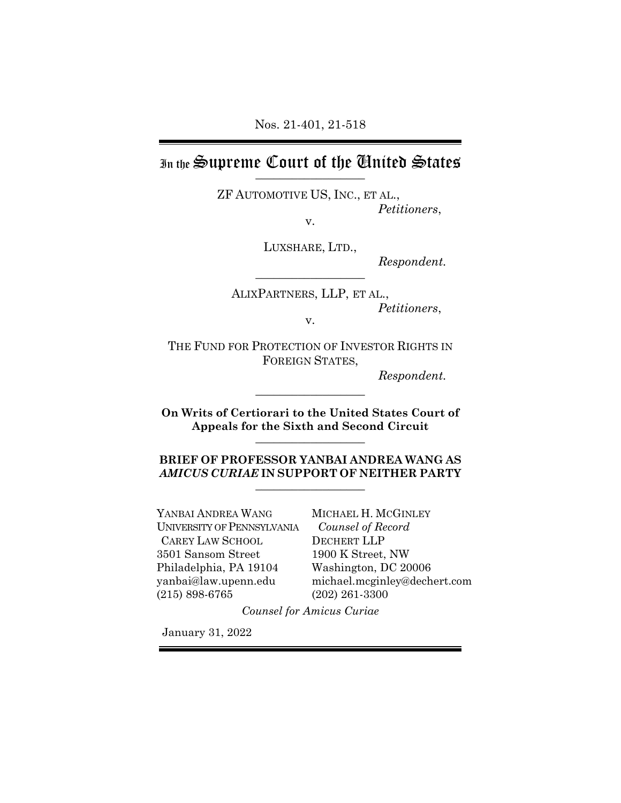# In the Supreme Court of the Chuited States

ZF AUTOMOTIVE US, INC., ET AL., *Petitioners*, v.

LUXSHARE, LTD.,

 $Respondent.$ 

ALIXPARTNERS, LLP, ET AL., *Petitioners*, v.

THE FUND FOR PROTECTION OF INVESTOR RIGHTS IN FOREIGN STATES,

*Respondent.*

**On Writs of Certiorari to the United States Court of Appeals for the Sixth and Second Circuit**  $\_$ 

 $\_$ 

**BRIEF OF PROFESSOR YANBAI ANDREA WANG AS** *AMICUS CURIAE* **IN SUPPORT OF NEITHER PARTY** \_\_\_\_\_\_\_\_\_\_\_\_\_\_\_\_\_\_

YANBAI ANDREA WANG UNIVERSITY OF PENNSYLVANIA CAREY LAW SCHOOL 3501 Sansom Street Philadelphia, PA 19104 yanbai@law.upenn.edu (215) 898-6765

MICHAEL H. MCGINLEY *Counsel of Record* DECHERT LLP 1900 K Street, NW Washington, DC 20006 michael.mcginley@dechert.com (202) 261-3300

*Counsel for Amicus Curiae*

January 31, 2022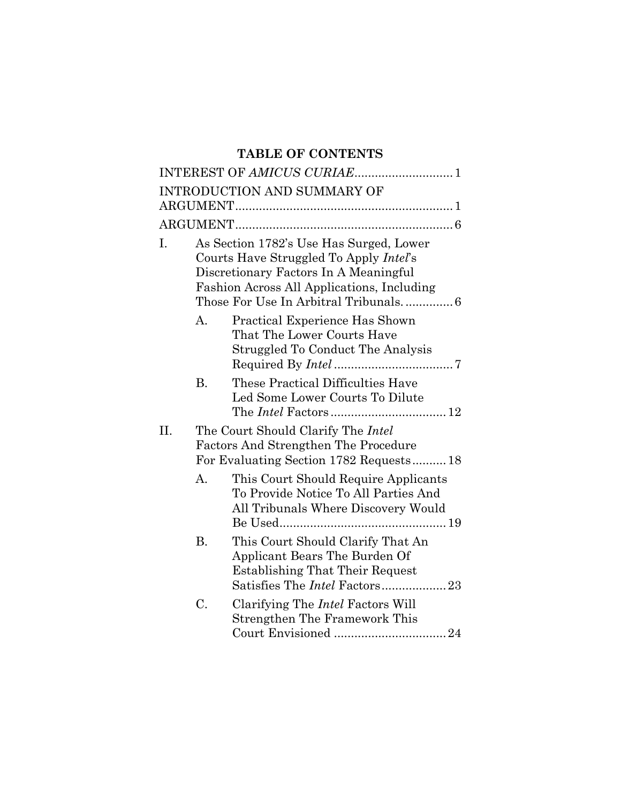## **TABLE OF CONTENTS**

|     |                                                                                                                                                                                                                   | <b>INTRODUCTION AND SUMMARY OF</b>                                                                                                            |  |  |
|-----|-------------------------------------------------------------------------------------------------------------------------------------------------------------------------------------------------------------------|-----------------------------------------------------------------------------------------------------------------------------------------------|--|--|
|     |                                                                                                                                                                                                                   |                                                                                                                                               |  |  |
| I.  | As Section 1782's Use Has Surged, Lower<br>Courts Have Struggled To Apply Intel's<br>Discretionary Factors In A Meaningful<br>Fashion Across All Applications, Including<br>Those For Use In Arbitral Tribunals 6 |                                                                                                                                               |  |  |
|     | A.                                                                                                                                                                                                                | Practical Experience Has Shown<br>That The Lower Courts Have<br>Struggled To Conduct The Analysis                                             |  |  |
|     | <b>B.</b>                                                                                                                                                                                                         | These Practical Difficulties Have<br>Led Some Lower Courts To Dilute                                                                          |  |  |
| II. |                                                                                                                                                                                                                   | The Court Should Clarify The Intel<br><b>Factors And Strengthen The Procedure</b><br>For Evaluating Section 1782 Requests18                   |  |  |
|     | A.                                                                                                                                                                                                                | This Court Should Require Applicants<br>To Provide Notice To All Parties And<br>All Tribunals Where Discovery Would                           |  |  |
|     | <b>B.</b>                                                                                                                                                                                                         | This Court Should Clarify That An<br>Applicant Bears The Burden Of<br><b>Establishing That Their Request</b><br>Satisfies The Intel Factors23 |  |  |
|     | C.                                                                                                                                                                                                                | Clarifying The <i>Intel</i> Factors Will<br>Strengthen The Framework This                                                                     |  |  |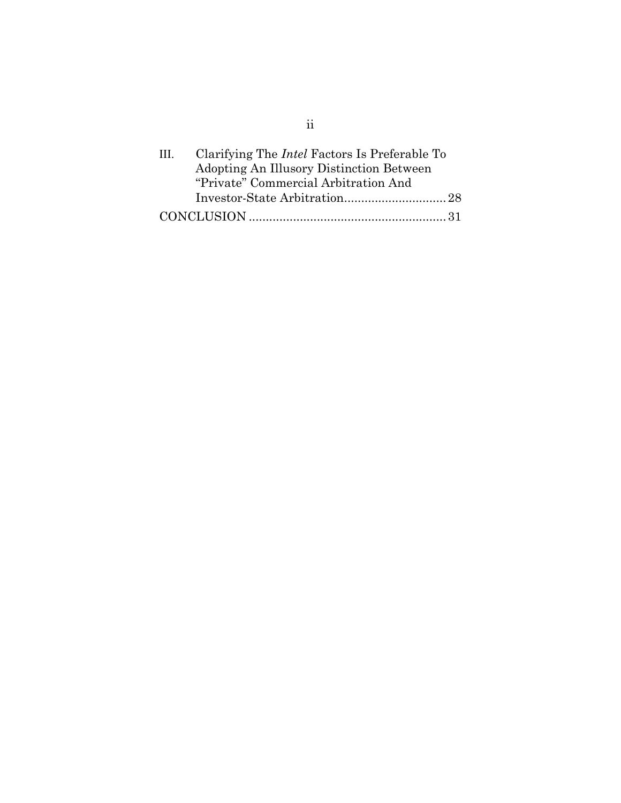| HL. | Clarifying The <i>Intel</i> Factors Is Preferable To |  |
|-----|------------------------------------------------------|--|
|     | Adopting An Illusory Distinction Between             |  |
|     | "Private" Commercial Arbitration And                 |  |
|     |                                                      |  |
|     |                                                      |  |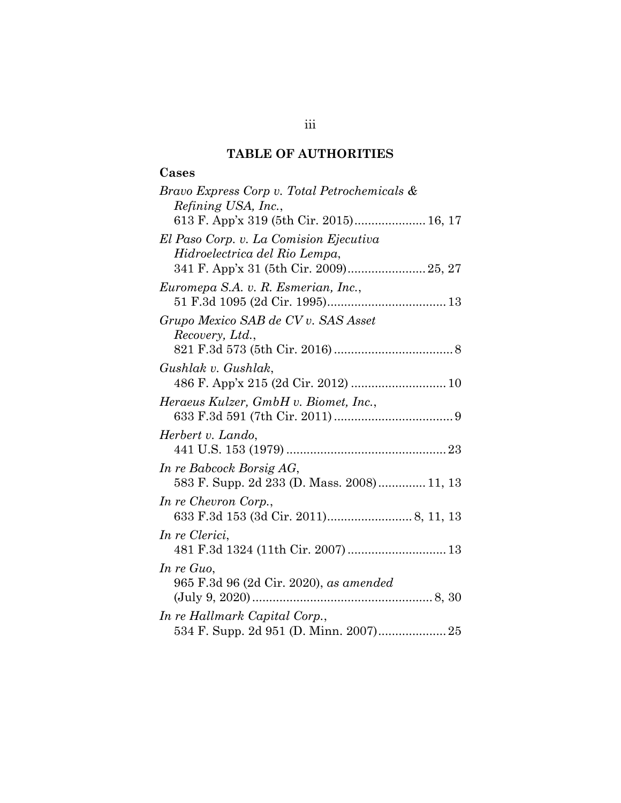## **TABLE OF AUTHORITIES**

## **Cases**

| Bravo Express Corp v. Total Petrochemicals & |
|----------------------------------------------|
| Refining USA, Inc.,                          |
| 613 F. App'x 319 (5th Cir. 2015) 16, 17      |
| El Paso Corp. v. La Comision Ejecutiva       |
| Hidroelectrica del Rio Lempa,                |
| 341 F. App'x 31 (5th Cir. 2009) 25, 27       |
| Euromepa S.A. v. R. Esmerian, Inc.,          |
|                                              |
| Grupo Mexico SAB de CV v. SAS Asset          |
| Recovery, Ltd.,                              |
|                                              |
| Gushlak v. Gushlak,                          |
| 486 F. App'x 215 (2d Cir. 2012)  10          |
| Heraeus Kulzer, GmbH v. Biomet, Inc.,        |
|                                              |
| Herbert v. Lando,                            |
|                                              |
| In re Babcock Borsig AG,                     |
| 583 F. Supp. 2d 233 (D. Mass. 2008) 11, 13   |
| In re Chevron Corp.,                         |
|                                              |
| In re Clerici,                               |
| 481 F.3d 1324 (11th Cir. 2007)  13           |
| In re Guo,                                   |
| 965 F.3d 96 (2d Cir. 2020), as amended       |
|                                              |
| In re Hallmark Capital Corp.,                |
|                                              |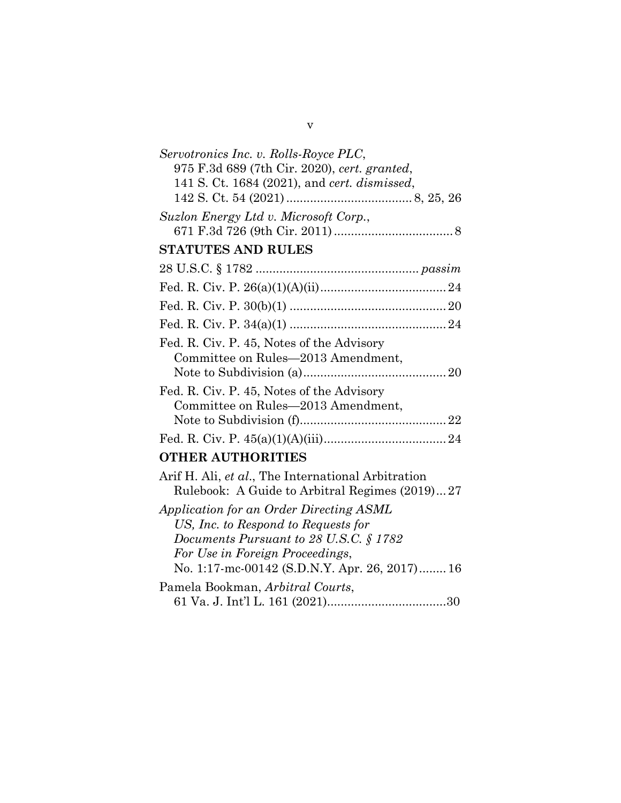| Servotronics Inc. v. Rolls-Royce PLC,              |  |  |  |
|----------------------------------------------------|--|--|--|
| 975 F.3d 689 (7th Cir. 2020), cert. granted,       |  |  |  |
| 141 S. Ct. 1684 (2021), and cert. dismissed,       |  |  |  |
|                                                    |  |  |  |
| Suzlon Energy Ltd v. Microsoft Corp.,              |  |  |  |
|                                                    |  |  |  |
| <b>STATUTES AND RULES</b>                          |  |  |  |
|                                                    |  |  |  |
|                                                    |  |  |  |
|                                                    |  |  |  |
|                                                    |  |  |  |
| Fed. R. Civ. P. 45, Notes of the Advisory          |  |  |  |
| Committee on Rules-2013 Amendment,                 |  |  |  |
|                                                    |  |  |  |
| Fed. R. Civ. P. 45, Notes of the Advisory          |  |  |  |
| Committee on Rules-2013 Amendment,                 |  |  |  |
|                                                    |  |  |  |
|                                                    |  |  |  |
| <b>OTHER AUTHORITIES</b>                           |  |  |  |
| Arif H. Ali, et al., The International Arbitration |  |  |  |
| Rulebook: A Guide to Arbitral Regimes (2019)27     |  |  |  |
| Application for an Order Directing ASML            |  |  |  |
| US, Inc. to Respond to Requests for                |  |  |  |
| Documents Pursuant to 28 U.S.C. $\S 1782$          |  |  |  |
| For Use in Foreign Proceedings,                    |  |  |  |
| No. 1:17-mc-00142 (S.D.N.Y. Apr. 26, 2017) 16      |  |  |  |
| Pamela Bookman, Arbitral Courts,                   |  |  |  |
|                                                    |  |  |  |
|                                                    |  |  |  |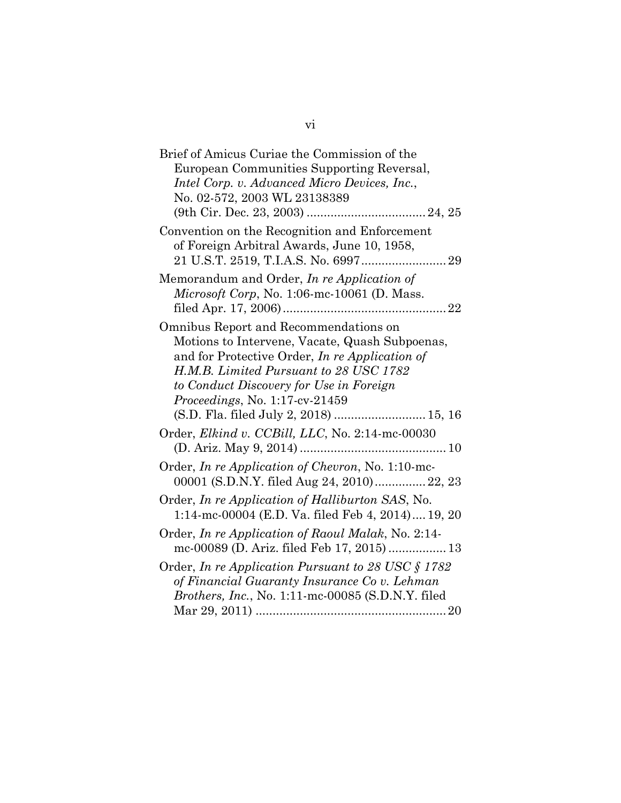| Brief of Amicus Curiae the Commission of the<br>European Communities Supporting Reversal,                                                               |
|---------------------------------------------------------------------------------------------------------------------------------------------------------|
| Intel Corp. v. Advanced Micro Devices, Inc.,                                                                                                            |
| No. 02-572, 2003 WL 23138389                                                                                                                            |
|                                                                                                                                                         |
| Convention on the Recognition and Enforcement<br>of Foreign Arbitral Awards, June 10, 1958,                                                             |
| Memorandum and Order, In re Application of<br>Microsoft Corp, No. 1:06-mc-10061 (D. Mass.                                                               |
| Omnibus Report and Recommendations on<br>Motions to Intervene, Vacate, Quash Subpoenas,                                                                 |
| and for Protective Order, In re Application of                                                                                                          |
| H.M.B. Limited Pursuant to 28 USC 1782                                                                                                                  |
| to Conduct Discovery for Use in Foreign                                                                                                                 |
| <i>Proceedings, No. 1:17-cv-21459</i>                                                                                                                   |
| (S.D. Fla. filed July 2, 2018)  15, 16                                                                                                                  |
| Order, Elkind v. CCBill, LLC, No. 2:14-mc-00030                                                                                                         |
| Order, In re Application of Chevron, No. 1:10-mc-<br>00001 (S.D.N.Y. filed Aug 24, 2010) 22, 23                                                         |
| Order, In re Application of Halliburton SAS, No.<br>1:14-mc-00004 (E.D. Va. filed Feb 4, 2014) 19, 20                                                   |
| Order, In re Application of Raoul Malak, No. 2:14-<br>mc-00089 (D. Ariz. filed Feb 17, 2015)  13                                                        |
| Order, In re Application Pursuant to 28 USC § 1782<br>of Financial Guaranty Insurance Co v. Lehman<br>Brothers, Inc., No. 1:11-mc-00085 (S.D.N.Y. filed |
|                                                                                                                                                         |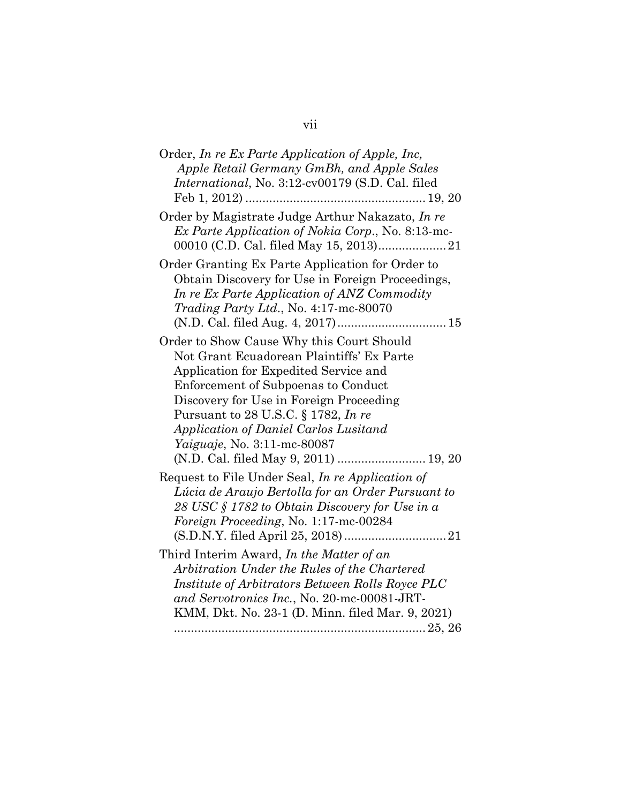| Order, In re Ex Parte Application of Apple, Inc,<br>Apple Retail Germany GmBh, and Apple Sales<br><i>International</i> , No. 3:12-cv00179 (S.D. Cal. filed                                                                                                                                                                                                                        |
|-----------------------------------------------------------------------------------------------------------------------------------------------------------------------------------------------------------------------------------------------------------------------------------------------------------------------------------------------------------------------------------|
| Order by Magistrate Judge Arthur Nakazato, In re<br>Ex Parte Application of Nokia Corp., No. 8:13-mc-                                                                                                                                                                                                                                                                             |
| Order Granting Ex Parte Application for Order to<br>Obtain Discovery for Use in Foreign Proceedings,<br>In re Ex Parte Application of ANZ Commodity<br>Trading Party Ltd., No. 4:17-mc-80070                                                                                                                                                                                      |
| Order to Show Cause Why this Court Should<br>Not Grant Ecuadorean Plaintiffs' Ex Parte<br>Application for Expedited Service and<br>Enforcement of Subpoenas to Conduct<br>Discovery for Use in Foreign Proceeding<br>Pursuant to 28 U.S.C. § 1782, In re<br>Application of Daniel Carlos Lusitand<br><i>Yaiguaje</i> , No. 3:11-mc-80087<br>(N.D. Cal. filed May 9, 2011)  19, 20 |
| Request to File Under Seal, In re Application of<br>Lúcia de Araujo Bertolla for an Order Pursuant to<br>28 USC § 1782 to Obtain Discovery for Use in a<br>Foreign Proceeding, No. 1:17-mc-00284                                                                                                                                                                                  |
| Third Interim Award, In the Matter of an<br>Arbitration Under the Rules of the Chartered<br>Institute of Arbitrators Between Rolls Royce PLC<br>and Servotronics Inc., No. 20-mc-00081-JRT-<br>KMM, Dkt. No. 23-1 (D. Minn. filed Mar. 9, 2021)                                                                                                                                   |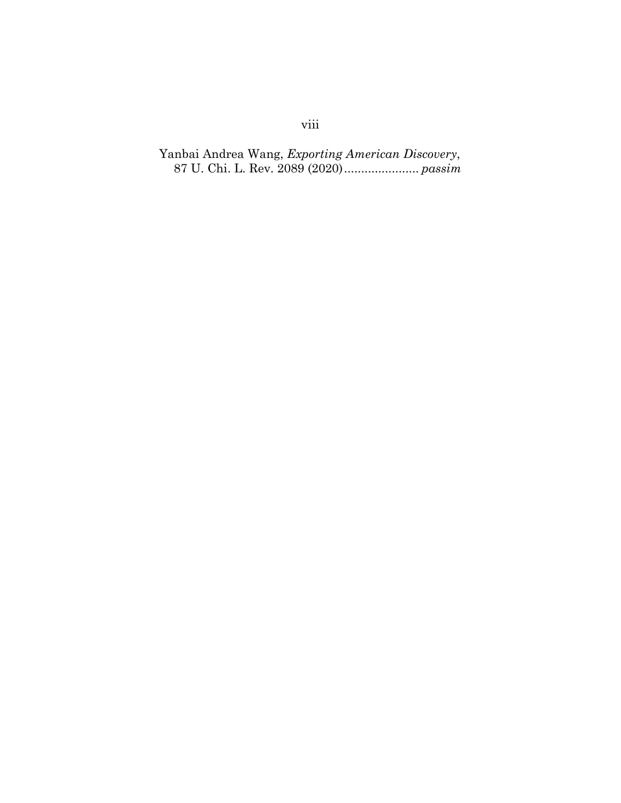## Yanbai Andrea Wang, *Exporting American Discovery*, 87 U. Chi. L. Rev. 2089 (2020)...................... *passim*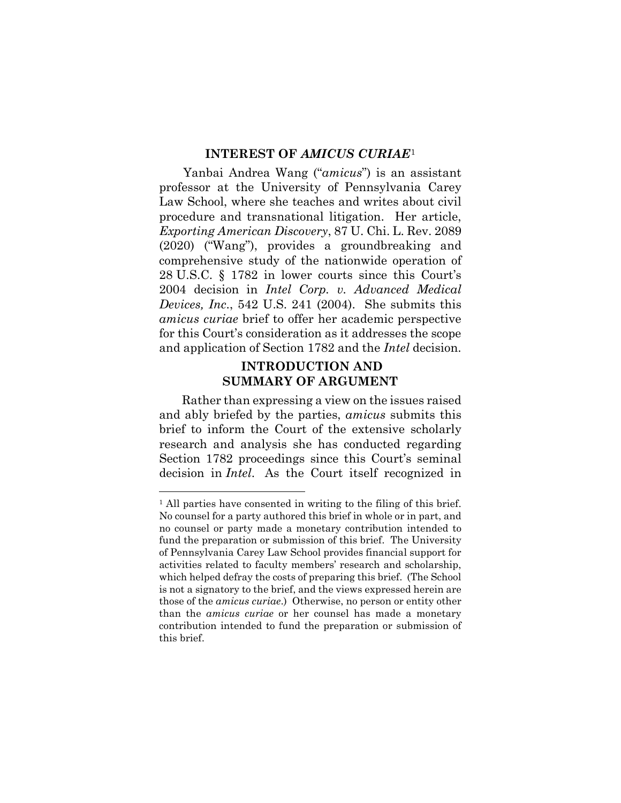#### **INTEREST OF** *AMICUS CURIAE*[1](#page-9-0)

Yanbai Andrea Wang ("*amicus*") is an assistant professor at the University of Pennsylvania Carey Law School, where she teaches and writes about civil procedure and transnational litigation. Her article, *Exporting American Discovery*, 87 U. Chi. L. Rev. 2089 (2020) ("Wang"), provides a groundbreaking and comprehensive study of the nationwide operation of 28 U.S.C. § 1782 in lower courts since this Court's 2004 decision in *Intel Corp. v. Advanced Medical Devices, Inc*., 542 U.S. 241 (2004). She submits this *amicus curiae* brief to offer her academic perspective for this Court's consideration as it addresses the scope and application of Section 1782 and the *Intel* decision.

### **INTRODUCTION AND SUMMARY OF ARGUMENT**

Rather than expressing a view on the issues raised and ably briefed by the parties, *amicus* submits this brief to inform the Court of the extensive scholarly research and analysis she has conducted regarding Section 1782 proceedings since this Court's seminal decision in *Intel*. As the Court itself recognized in

<span id="page-9-0"></span><sup>&</sup>lt;sup>1</sup> All parties have consented in writing to the filing of this brief. No counsel for a party authored this brief in whole or in part, and no counsel or party made a monetary contribution intended to fund the preparation or submission of this brief. The University of Pennsylvania Carey Law School provides financial support for activities related to faculty members' research and scholarship, which helped defray the costs of preparing this brief. (The School is not a signatory to the brief, and the views expressed herein are those of the *amicus curiae*.) Otherwise, no person or entity other than the *amicus curiae* or her counsel has made a monetary contribution intended to fund the preparation or submission of this brief.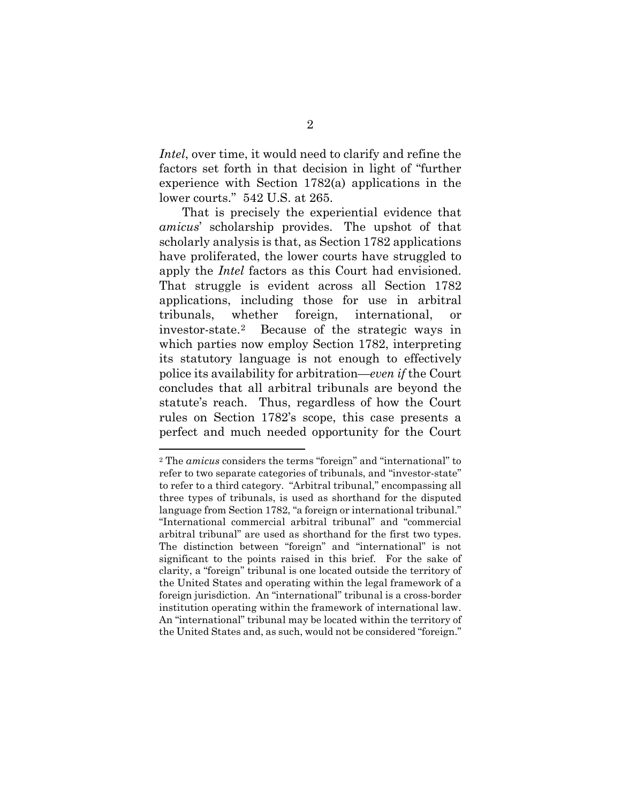*Intel*, over time, it would need to clarify and refine the factors set forth in that decision in light of "further experience with Section 1782(a) applications in the lower courts." 542 U.S. at 265.

That is precisely the experiential evidence that *amicus*' scholarship provides. The upshot of that scholarly analysis is that, as Section 1782 applications have proliferated, the lower courts have struggled to apply the *Intel* factors as this Court had envisioned. That struggle is evident across all Section 1782 applications, including those for use in arbitral tribunals, whether foreign, international, or investor-state.[2](#page-10-0) Because of the strategic ways in which parties now employ Section 1782, interpreting its statutory language is not enough to effectively police its availability for arbitration—*even if* the Court concludes that all arbitral tribunals are beyond the statute's reach. Thus, regardless of how the Court rules on Section 1782's scope, this case presents a perfect and much needed opportunity for the Court

<span id="page-10-0"></span><sup>2</sup> The *amicus* considers the terms "foreign" and "international" to refer to two separate categories of tribunals, and "investor-state" to refer to a third category. "Arbitral tribunal," encompassing all three types of tribunals, is used as shorthand for the disputed language from Section 1782, "a foreign or international tribunal." "International commercial arbitral tribunal" and "commercial arbitral tribunal" are used as shorthand for the first two types. The distinction between "foreign" and "international" is not significant to the points raised in this brief. For the sake of clarity, a "foreign" tribunal is one located outside the territory of the United States and operating within the legal framework of a foreign jurisdiction. An "international" tribunal is a cross-border institution operating within the framework of international law. An "international" tribunal may be located within the territory of the United States and, as such, would not be considered "foreign."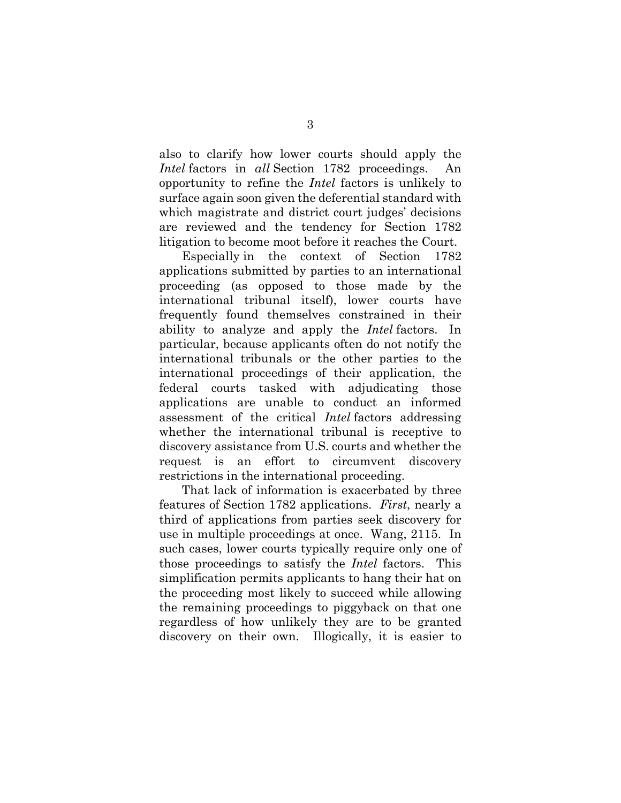also to clarify how lower courts should apply the *Intel* factors in *all* Section 1782 proceedings. An opportunity to refine the *Intel* factors is unlikely to surface again soon given the deferential standard with which magistrate and district court judges' decisions are reviewed and the tendency for Section 1782 litigation to become moot before it reaches the Court.

Especially in the context of Section 1782 applications submitted by parties to an international proceeding (as opposed to those made by the international tribunal itself), lower courts have frequently found themselves constrained in their ability to analyze and apply the *Intel* factors. In particular, because applicants often do not notify the international tribunals or the other parties to the international proceedings of their application, the federal courts tasked with adjudicating those applications are unable to conduct an informed assessment of the critical *Intel* factors addressing whether the international tribunal is receptive to discovery assistance from U.S. courts and whether the request is an effort to circumvent discovery restrictions in the international proceeding.

That lack of information is exacerbated by three features of Section 1782 applications. *First*, nearly a third of applications from parties seek discovery for use in multiple proceedings at once. Wang, 2115. In such cases, lower courts typically require only one of those proceedings to satisfy the *Intel* factors. This simplification permits applicants to hang their hat on the proceeding most likely to succeed while allowing the remaining proceedings to piggyback on that one regardless of how unlikely they are to be granted discovery on their own. Illogically, it is easier to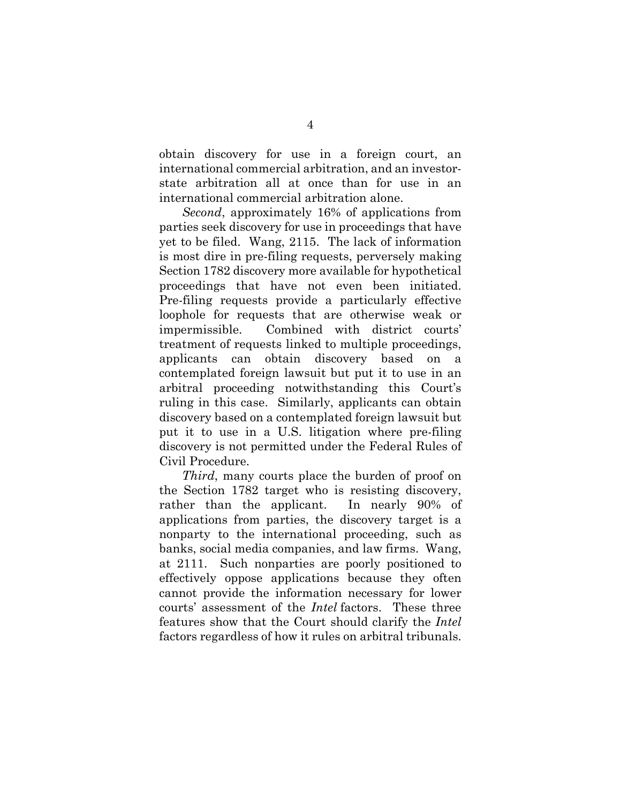obtain discovery for use in a foreign court, an international commercial arbitration, and an investorstate arbitration all at once than for use in an international commercial arbitration alone.

*Second*, approximately 16% of applications from parties seek discovery for use in proceedings that have yet to be filed. Wang, 2115. The lack of information is most dire in pre-filing requests, perversely making Section 1782 discovery more available for hypothetical proceedings that have not even been initiated. Pre-filing requests provide a particularly effective loophole for requests that are otherwise weak or impermissible. Combined with district courts' treatment of requests linked to multiple proceedings, applicants can obtain discovery based on a contemplated foreign lawsuit but put it to use in an arbitral proceeding notwithstanding this Court's ruling in this case. Similarly, applicants can obtain discovery based on a contemplated foreign lawsuit but put it to use in a U.S. litigation where pre-filing discovery is not permitted under the Federal Rules of Civil Procedure.

*Third*, many courts place the burden of proof on the Section 1782 target who is resisting discovery, rather than the applicant. In nearly 90% of applications from parties, the discovery target is a nonparty to the international proceeding, such as banks, social media companies, and law firms. Wang, at 2111. Such nonparties are poorly positioned to effectively oppose applications because they often cannot provide the information necessary for lower courts' assessment of the *Intel* factors. These three features show that the Court should clarify the *Intel*  factors regardless of how it rules on arbitral tribunals.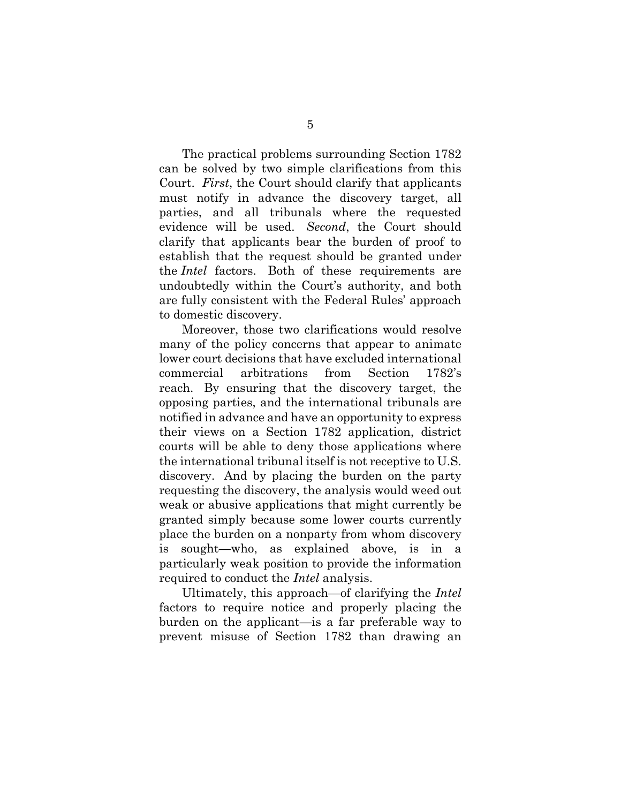The practical problems surrounding Section 1782 can be solved by two simple clarifications from this Court. *First*, the Court should clarify that applicants must notify in advance the discovery target, all parties, and all tribunals where the requested evidence will be used. *Second*, the Court should clarify that applicants bear the burden of proof to establish that the request should be granted under the *Intel* factors. Both of these requirements are undoubtedly within the Court's authority, and both are fully consistent with the Federal Rules' approach to domestic discovery.

Moreover, those two clarifications would resolve many of the policy concerns that appear to animate lower court decisions that have excluded international commercial arbitrations from Section 1782's reach. By ensuring that the discovery target, the opposing parties, and the international tribunals are notified in advance and have an opportunity to express their views on a Section 1782 application, district courts will be able to deny those applications where the international tribunal itself is not receptive to U.S. discovery. And by placing the burden on the party requesting the discovery, the analysis would weed out weak or abusive applications that might currently be granted simply because some lower courts currently place the burden on a nonparty from whom discovery is sought—who, as explained above, is in a particularly weak position to provide the information required to conduct the *Intel* analysis.

Ultimately, this approach—of clarifying the *Intel*  factors to require notice and properly placing the burden on the applicant—is a far preferable way to prevent misuse of Section 1782 than drawing an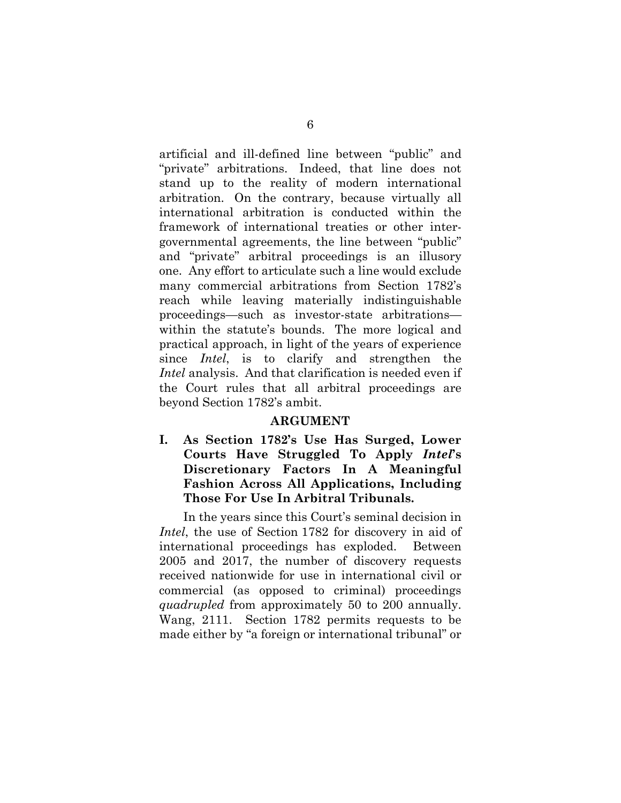artificial and ill-defined line between "public" and "private" arbitrations. Indeed, that line does not stand up to the reality of modern international arbitration. On the contrary, because virtually all international arbitration is conducted within the framework of international treaties or other intergovernmental agreements, the line between "public" and "private" arbitral proceedings is an illusory one. Any effort to articulate such a line would exclude many commercial arbitrations from Section 1782's reach while leaving materially indistinguishable proceedings—such as investor-state arbitrations within the statute's bounds. The more logical and practical approach, in light of the years of experience since *Intel*, is to clarify and strengthen the *Intel* analysis. And that clarification is needed even if the Court rules that all arbitral proceedings are beyond Section 1782's ambit.

### **ARGUMENT**

**I. As Section 1782's Use Has Surged, Lower Courts Have Struggled To Apply** *Intel***'s Discretionary Factors In A Meaningful Fashion Across All Applications, Including Those For Use In Arbitral Tribunals.** 

In the years since this Court's seminal decision in *Intel*, the use of Section 1782 for discovery in aid of international proceedings has exploded. Between 2005 and 2017, the number of discovery requests received nationwide for use in international civil or commercial (as opposed to criminal) proceedings *quadrupled* from approximately 50 to 200 annually. Wang, 2111. Section 1782 permits requests to be made either by "a foreign or international tribunal" or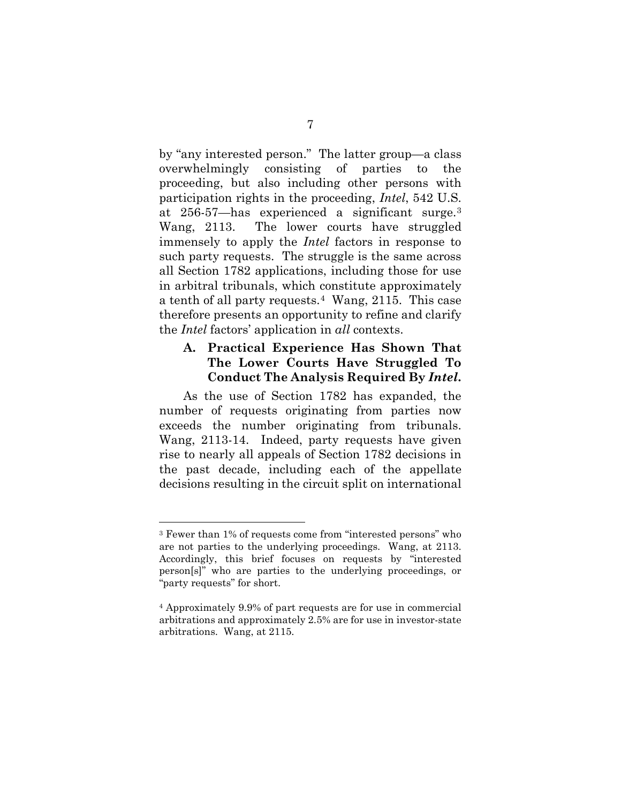by "any interested person." The latter group—a class overwhelmingly consisting of parties to the proceeding, but also including other persons with participation rights in the proceeding, *Intel*, 542 U.S. at 256-57—has experienced a significant surge.[3](#page-15-0) Wang, 2113. The lower courts have struggled immensely to apply the *Intel* factors in response to such party requests. The struggle is the same across all Section 1782 applications, including those for use in arbitral tribunals, which constitute approximately a tenth of all party requests.[4](#page-15-1) Wang, 2115. This case therefore presents an opportunity to refine and clarify the *Intel* factors' application in *all* contexts.

## **A. Practical Experience Has Shown That The Lower Courts Have Struggled To Conduct The Analysis Required By** *Intel***.**

As the use of Section 1782 has expanded, the number of requests originating from parties now exceeds the number originating from tribunals. Wang, 2113-14. Indeed, party requests have given rise to nearly all appeals of Section 1782 decisions in the past decade, including each of the appellate decisions resulting in the circuit split on international

<span id="page-15-0"></span><sup>3</sup> Fewer than 1% of requests come from "interested persons" who are not parties to the underlying proceedings. Wang, at 2113. Accordingly, this brief focuses on requests by "interested person[s]" who are parties to the underlying proceedings, or "party requests" for short.

<span id="page-15-1"></span><sup>4</sup> Approximately 9.9% of part requests are for use in commercial arbitrations and approximately 2.5% are for use in investor-state arbitrations. Wang, at 2115.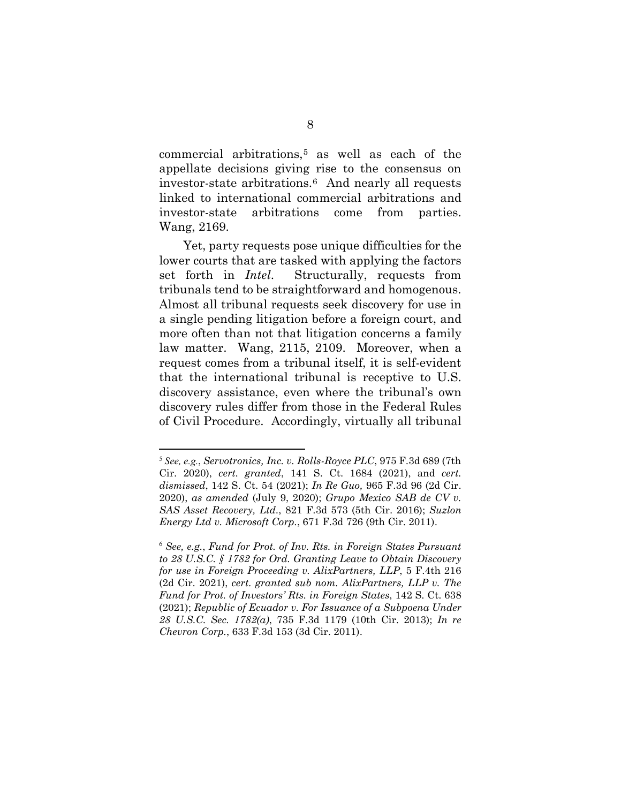commercial arbitrations,[5](#page-16-0) as well as each of the appellate decisions giving rise to the consensus on investor-state arbitrations.[6](#page-16-1) And nearly all requests linked to international commercial arbitrations and investor-state arbitrations come from parties. Wang, 2169.

Yet, party requests pose unique difficulties for the lower courts that are tasked with applying the factors set forth in *Intel*. Structurally, requests from tribunals tend to be straightforward and homogenous. Almost all tribunal requests seek discovery for use in a single pending litigation before a foreign court, and more often than not that litigation concerns a family law matter. Wang, 2115, 2109. Moreover, when a request comes from a tribunal itself, it is self-evident that the international tribunal is receptive to U.S. discovery assistance, even where the tribunal's own discovery rules differ from those in the Federal Rules of Civil Procedure. Accordingly, virtually all tribunal

<span id="page-16-0"></span><sup>5</sup> *See, e.g.*, *Servotronics, Inc. v. Rolls-Royce PLC*, 975 F.3d 689 (7th Cir. 2020), *cert. granted*, 141 S. Ct. 1684 (2021), and *cert. dismissed*, 142 S. Ct. 54 (2021); *In Re Guo,* 965 F.3d 96 (2d Cir. 2020), *as amended* (July 9, 2020); *Grupo Mexico SAB de CV v. SAS Asset Recovery, Ltd.*, 821 F.3d 573 (5th Cir. 2016); *Suzlon Energy Ltd v. Microsoft Corp.*, 671 F.3d 726 (9th Cir. 2011).

<span id="page-16-1"></span><sup>6</sup> *See, e.g.*, *Fund for Prot. of Inv. Rts. in Foreign States Pursuant to 28 U.S.C. § 1782 for Ord. Granting Leave to Obtain Discovery for use in Foreign Proceeding v. AlixPartners, LLP*, 5 F.4th 216 (2d Cir. 2021), *cert. granted sub nom. AlixPartners, LLP v. The Fund for Prot. of Investors' Rts. in Foreign States*, 142 S. Ct. 638 (2021); *Republic of Ecuador v. For Issuance of a Subpoena Under 28 U.S.C. Sec. 1782(a)*, 735 F.3d 1179 (10th Cir. 2013); *In re Chevron Corp.*, 633 F.3d 153 (3d Cir. 2011).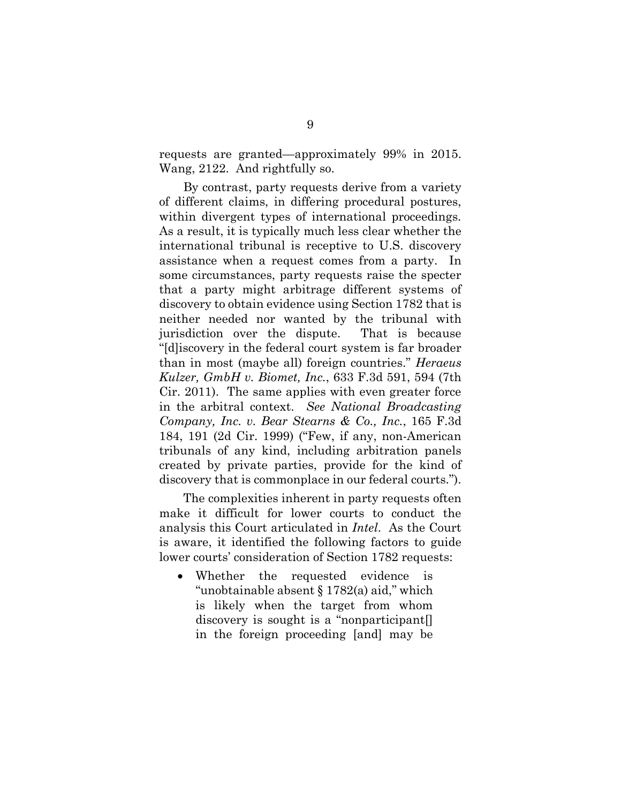requests are granted—approximately 99% in 2015. Wang, 2122. And rightfully so.

By contrast, party requests derive from a variety of different claims, in differing procedural postures, within divergent types of international proceedings. As a result, it is typically much less clear whether the international tribunal is receptive to U.S. discovery assistance when a request comes from a party. In some circumstances, party requests raise the specter that a party might arbitrage different systems of discovery to obtain evidence using Section 1782 that is neither needed nor wanted by the tribunal with jurisdiction over the dispute. That is because "[d]iscovery in the federal court system is far broader than in most (maybe all) foreign countries." *Heraeus Kulzer, GmbH v. Biomet, Inc.*, 633 F.3d 591, 594 (7th Cir. 2011). The same applies with even greater force in the arbitral context. *See National Broadcasting Company, Inc. v. Bear Stearns & Co., Inc.*, 165 F.3d 184, 191 (2d Cir. 1999) ("Few, if any, non-American tribunals of any kind, including arbitration panels created by private parties, provide for the kind of discovery that is commonplace in our federal courts.").

The complexities inherent in party requests often make it difficult for lower courts to conduct the analysis this Court articulated in *Intel*. As the Court is aware, it identified the following factors to guide lower courts' consideration of Section 1782 requests:

• Whether the requested evidence is "unobtainable absent § 1782(a) aid," which is likely when the target from whom discovery is sought is a "nonparticipant[] in the foreign proceeding [and] may be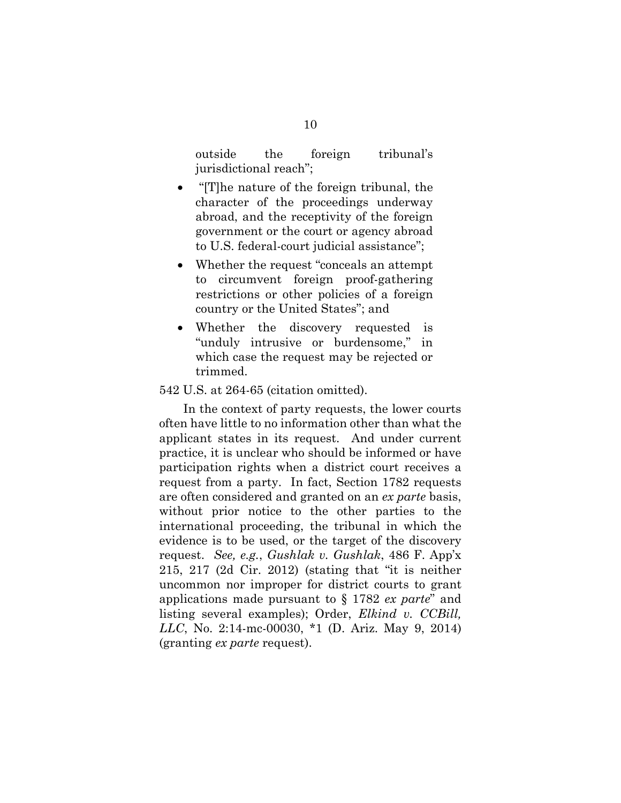outside the foreign tribunal's jurisdictional reach";

- "[T]he nature of the foreign tribunal, the character of the proceedings underway abroad, and the receptivity of the foreign government or the court or agency abroad to U.S. federal-court judicial assistance";
- Whether the request "conceals an attempt" to circumvent foreign proof-gathering restrictions or other policies of a foreign country or the United States"; and
- Whether the discovery requested is "unduly intrusive or burdensome," in which case the request may be rejected or trimmed.

#### 542 U.S. at 264-65 (citation omitted).

In the context of party requests, the lower courts often have little to no information other than what the applicant states in its request. And under current practice, it is unclear who should be informed or have participation rights when a district court receives a request from a party. In fact, Section 1782 requests are often considered and granted on an *ex parte* basis, without prior notice to the other parties to the international proceeding, the tribunal in which the evidence is to be used, or the target of the discovery request. *See, e.g.*, *Gushlak v. Gushlak*, 486 F. App'x 215, 217 (2d Cir. 2012) (stating that "it is neither uncommon nor improper for district courts to grant applications made pursuant to § 1782 *ex parte*" and listing several examples); Order, *Elkind v. CCBill, LLC*, No. 2:14-mc-00030, \*1 (D. Ariz. May 9, 2014) (granting *ex parte* request).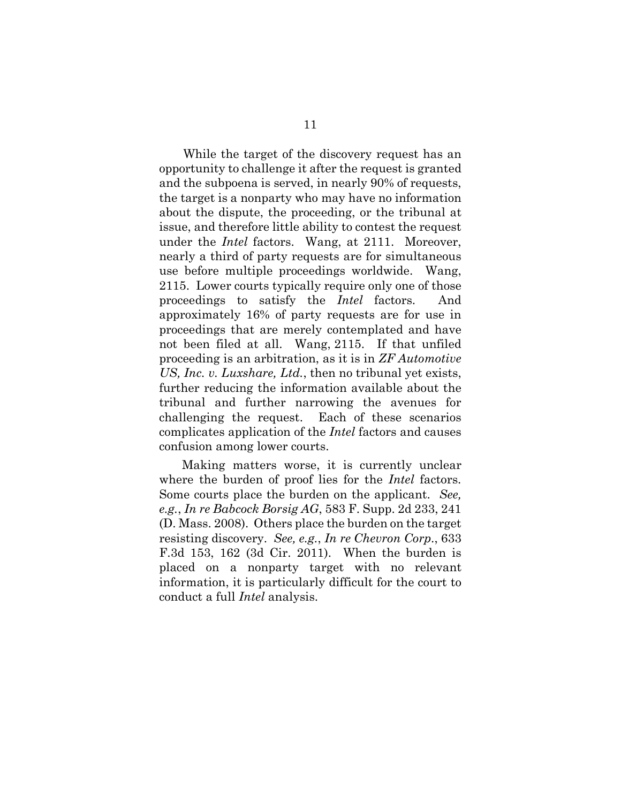While the target of the discovery request has an opportunity to challenge it after the request is granted and the subpoena is served, in nearly 90% of requests, the target is a nonparty who may have no information about the dispute, the proceeding, or the tribunal at issue, and therefore little ability to contest the request under the *Intel* factors. Wang, at 2111. Moreover, nearly a third of party requests are for simultaneous use before multiple proceedings worldwide. Wang, 2115. Lower courts typically require only one of those proceedings to satisfy the *Intel* factors. And approximately 16% of party requests are for use in proceedings that are merely contemplated and have not been filed at all. Wang, 2115. If that unfiled proceeding is an arbitration, as it is in *ZF Automotive US, Inc. v. Luxshare, Ltd.*, then no tribunal yet exists, further reducing the information available about the tribunal and further narrowing the avenues for challenging the request. Each of these scenarios complicates application of the *Intel* factors and causes confusion among lower courts.

Making matters worse, it is currently unclear where the burden of proof lies for the *Intel* factors. Some courts place the burden on the applicant. *See, e.g.*, *In re Babcock Borsig AG*, 583 F. Supp. 2d 233, 241 (D. Mass. 2008). Others place the burden on the target resisting discovery. *See, e.g.*, *In re Chevron Corp*., 633 F.3d 153, 162 (3d Cir. 2011). When the burden is placed on a nonparty target with no relevant information, it is particularly difficult for the court to conduct a full *Intel* analysis.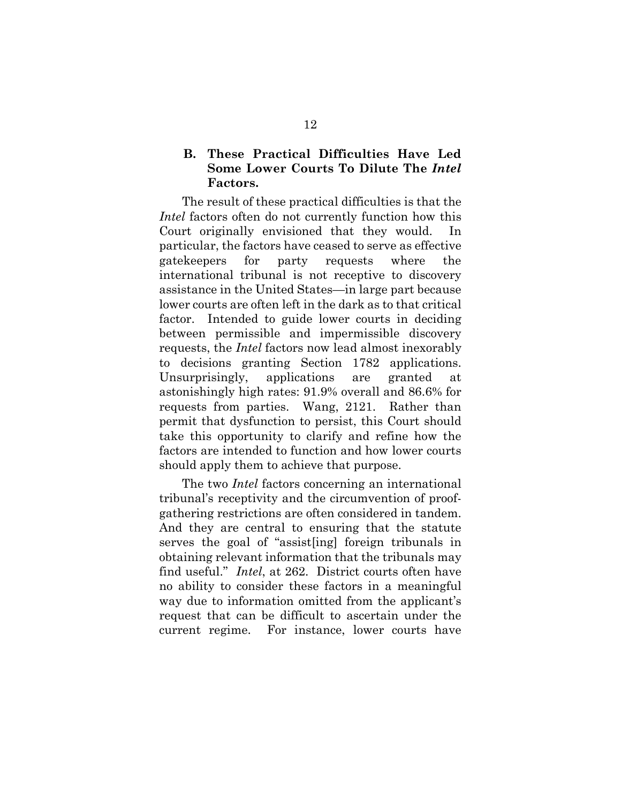## **B. These Practical Difficulties Have Led Some Lower Courts To Dilute The** *Intel* **Factors.**

The result of these practical difficulties is that the *Intel* factors often do not currently function how this Court originally envisioned that they would. In particular, the factors have ceased to serve as effective gatekeepers for party requests where the international tribunal is not receptive to discovery assistance in the United States—in large part because lower courts are often left in the dark as to that critical factor. Intended to guide lower courts in deciding between permissible and impermissible discovery requests, the *Intel* factors now lead almost inexorably to decisions granting Section 1782 applications. Unsurprisingly, applications are granted at astonishingly high rates: 91.9% overall and 86.6% for requests from parties. Wang, 2121. Rather than permit that dysfunction to persist, this Court should take this opportunity to clarify and refine how the factors are intended to function and how lower courts should apply them to achieve that purpose.

The two *Intel* factors concerning an international tribunal's receptivity and the circumvention of proofgathering restrictions are often considered in tandem. And they are central to ensuring that the statute serves the goal of "assist[ing] foreign tribunals in obtaining relevant information that the tribunals may find useful." *Intel*, at 262. District courts often have no ability to consider these factors in a meaningful way due to information omitted from the applicant's request that can be difficult to ascertain under the current regime. For instance, lower courts have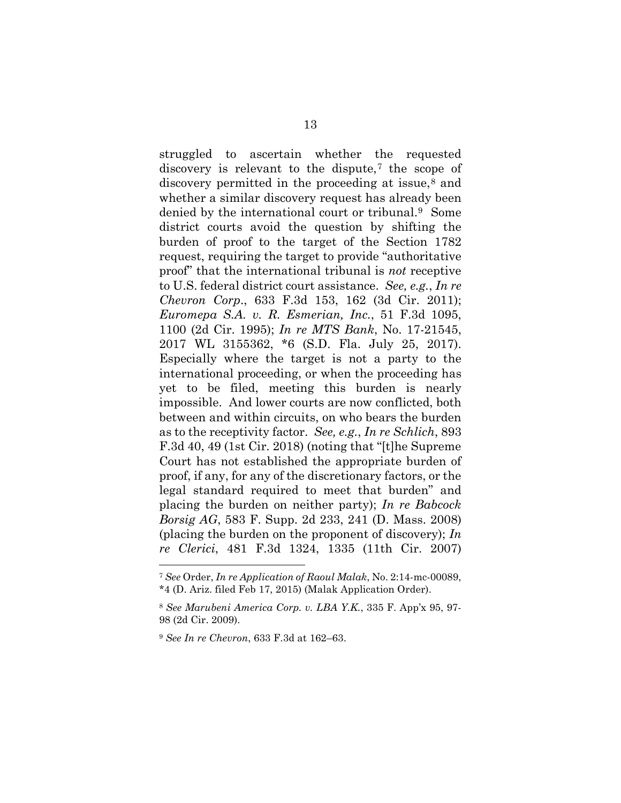struggled to ascertain whether the requested discovery is relevant to the dispute,[7](#page-21-0) the scope of discovery permitted in the proceeding at issue,<sup>[8](#page-21-1)</sup> and whether a similar discovery request has already been denied by the international court or tribunal.[9](#page-21-2) Some district courts avoid the question by shifting the burden of proof to the target of the Section 1782 request, requiring the target to provide "authoritative proof" that the international tribunal is *not* receptive to U.S. federal district court assistance. *See, e.g.*, *In re Chevron Corp*., 633 F.3d 153, 162 (3d Cir. 2011); *Euromepa S.A. v. R. Esmerian, Inc.*, 51 F.3d 1095, 1100 (2d Cir. 1995); *In re MTS Bank*, No. 17-21545, 2017 WL 3155362, \*6 (S.D. Fla. July 25, 2017). Especially where the target is not a party to the international proceeding, or when the proceeding has yet to be filed, meeting this burden is nearly impossible. And lower courts are now conflicted, both between and within circuits, on who bears the burden as to the receptivity factor. *See, e.g.*, *In re Schlich*, 893 F.3d 40, 49 (1st Cir. 2018) (noting that "[t]he Supreme Court has not established the appropriate burden of proof, if any, for any of the discretionary factors, or the legal standard required to meet that burden" and placing the burden on neither party); *In re Babcock Borsig AG*, 583 F. Supp. 2d 233, 241 (D. Mass. 2008) (placing the burden on the proponent of discovery); *In re Clerici*, 481 F.3d 1324, 1335 (11th Cir. 2007)

<span id="page-21-0"></span><sup>7</sup> *See* Order, *In re Application of Raoul Malak*, No. 2:14-mc-00089, \*4 (D. Ariz. filed Feb 17, 2015) (Malak Application Order).

<span id="page-21-1"></span><sup>8</sup> *See Marubeni America Corp. v. LBA Y.K.*, 335 F. App'x 95, 97- 98 (2d Cir. 2009).

<span id="page-21-2"></span><sup>9</sup> *See In re Chevron*, 633 F.3d at 162–63.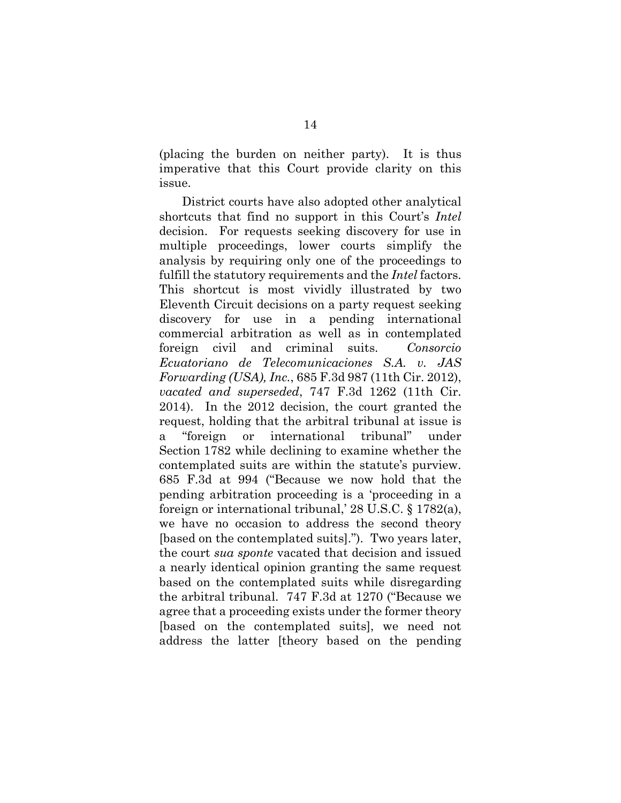(placing the burden on neither party). It is thus imperative that this Court provide clarity on this issue.

District courts have also adopted other analytical shortcuts that find no support in this Court's *Intel* decision. For requests seeking discovery for use in multiple proceedings, lower courts simplify the analysis by requiring only one of the proceedings to fulfill the statutory requirements and the *Intel* factors. This shortcut is most vividly illustrated by two Eleventh Circuit decisions on a party request seeking discovery for use in a pending international commercial arbitration as well as in contemplated foreign civil and criminal suits. *Consorcio Ecuatoriano de Telecomunicaciones S.A. v. JAS Forwarding (USA), Inc.*, 685 F.3d 987 (11th Cir. 2012), *vacated and superseded*, 747 F.3d 1262 (11th Cir. 2014). In the 2012 decision, the court granted the request, holding that the arbitral tribunal at issue is a "foreign or international tribunal" under Section 1782 while declining to examine whether the contemplated suits are within the statute's purview. 685 F.3d at 994 ("Because we now hold that the pending arbitration proceeding is a 'proceeding in a foreign or international tribunal,' 28 U.S.C. § 1782(a), we have no occasion to address the second theory [based on the contemplated suits]."). Two years later, the court *sua sponte* vacated that decision and issued a nearly identical opinion granting the same request based on the contemplated suits while disregarding the arbitral tribunal. 747 F.3d at 1270 ("Because we agree that a proceeding exists under the former theory [based on the contemplated suits], we need not address the latter [theory based on the pending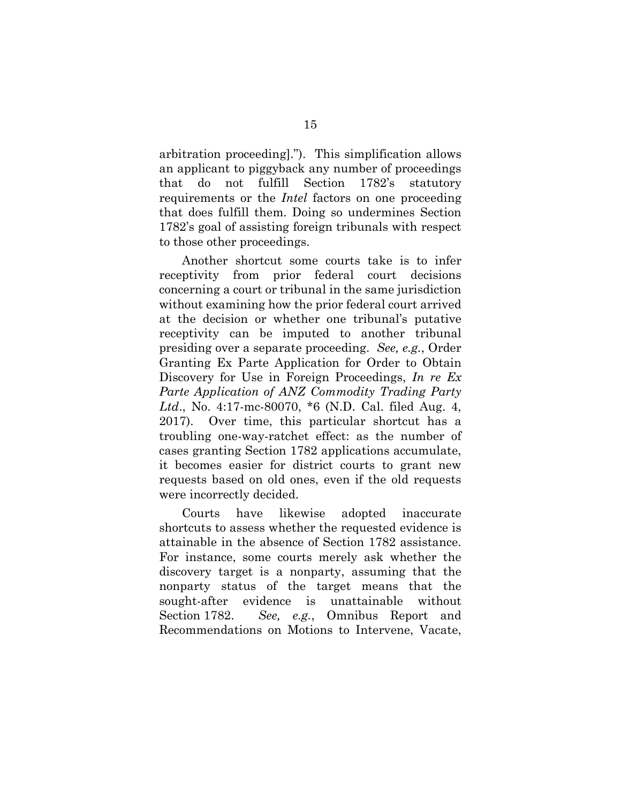arbitration proceeding]."). This simplification allows an applicant to piggyback any number of proceedings that do not fulfill Section 1782's statutory requirements or the *Intel* factors on one proceeding that does fulfill them. Doing so undermines Section 1782's goal of assisting foreign tribunals with respect to those other proceedings.

Another shortcut some courts take is to infer receptivity from prior federal court decisions concerning a court or tribunal in the same jurisdiction without examining how the prior federal court arrived at the decision or whether one tribunal's putative receptivity can be imputed to another tribunal presiding over a separate proceeding. *See, e.g.*, Order Granting Ex Parte Application for Order to Obtain Discovery for Use in Foreign Proceedings, *In re Ex Parte Application of ANZ Commodity Trading Party Ltd*., No. 4:17-mc-80070, \*6 (N.D. Cal. filed Aug. 4, 2017). Over time, this particular shortcut has a troubling one-way-ratchet effect: as the number of cases granting Section 1782 applications accumulate, it becomes easier for district courts to grant new requests based on old ones, even if the old requests were incorrectly decided.

Courts have likewise adopted inaccurate shortcuts to assess whether the requested evidence is attainable in the absence of Section 1782 assistance. For instance, some courts merely ask whether the discovery target is a nonparty, assuming that the nonparty status of the target means that the sought-after evidence is unattainable without Section 1782. *See, e.g.*, Omnibus Report and Recommendations on Motions to Intervene, Vacate,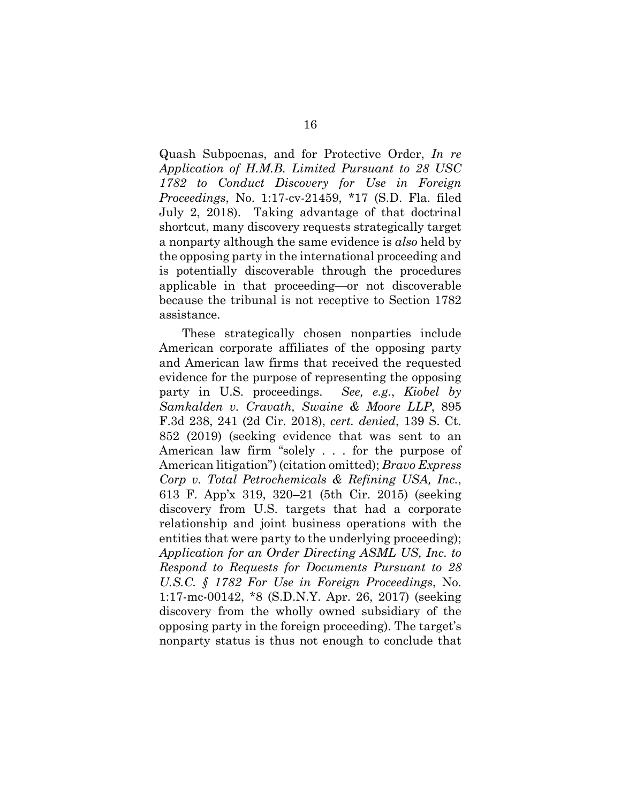Quash Subpoenas, and for Protective Order, *In re Application of H.M.B. Limited Pursuant to 28 USC 1782 to Conduct Discovery for Use in Foreign Proceedings*, No. 1:17-cv-21459, \*17 (S.D. Fla. filed July 2, 2018). Taking advantage of that doctrinal shortcut, many discovery requests strategically target a nonparty although the same evidence is *also* held by the opposing party in the international proceeding and is potentially discoverable through the procedures applicable in that proceeding—or not discoverable because the tribunal is not receptive to Section 1782 assistance.

These strategically chosen nonparties include American corporate affiliates of the opposing party and American law firms that received the requested evidence for the purpose of representing the opposing party in U.S. proceedings. *See, e.g.*, *Kiobel by Samkalden v. Cravath, Swaine & Moore LLP*, 895 F.3d 238, 241 (2d Cir. 2018), *cert. denied*, 139 S. Ct. 852 (2019) (seeking evidence that was sent to an American law firm "solely . . . for the purpose of American litigation") (citation omitted); *Bravo Express Corp v. Total Petrochemicals & Refining USA, Inc.*, 613 F. App'x 319, 320–21 (5th Cir. 2015) (seeking discovery from U.S. targets that had a corporate relationship and joint business operations with the entities that were party to the underlying proceeding); *Application for an Order Directing ASML US, Inc. to Respond to Requests for Documents Pursuant to 28 U.S.C. § 1782 For Use in Foreign Proceedings*, No. 1:17-mc-00142, \*8 (S.D.N.Y. Apr. 26, 2017) (seeking discovery from the wholly owned subsidiary of the opposing party in the foreign proceeding). The target's nonparty status is thus not enough to conclude that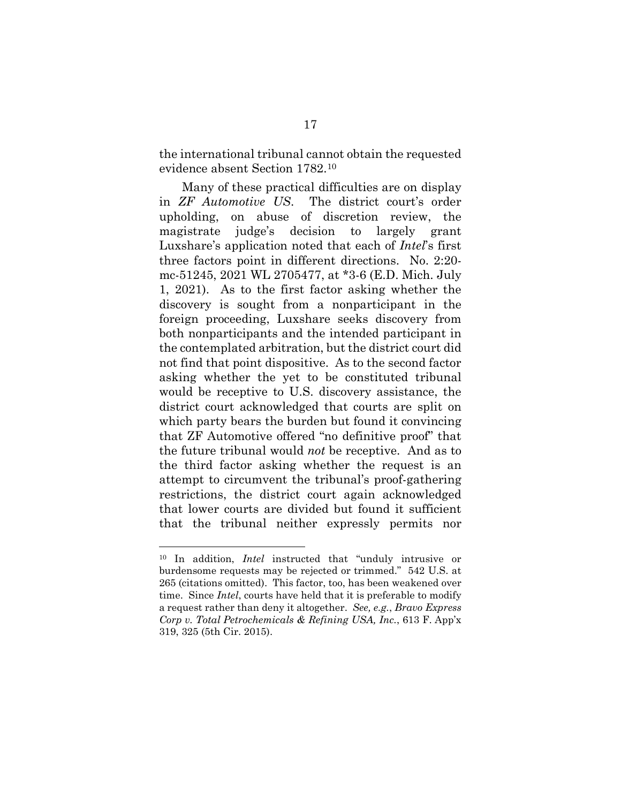the international tribunal cannot obtain the requested evidence absent Section 1782.[10](#page-25-0)

Many of these practical difficulties are on display in *ZF Automotive US*. The district court's order upholding, on abuse of discretion review, the magistrate judge's decision to largely grant Luxshare's application noted that each of *Intel*'s first three factors point in different directions. No. 2:20 mc-51245, 2021 WL 2705477, at \*3-6 (E.D. Mich. July 1, 2021). As to the first factor asking whether the discovery is sought from a nonparticipant in the foreign proceeding, Luxshare seeks discovery from both nonparticipants and the intended participant in the contemplated arbitration, but the district court did not find that point dispositive. As to the second factor asking whether the yet to be constituted tribunal would be receptive to U.S. discovery assistance, the district court acknowledged that courts are split on which party bears the burden but found it convincing that ZF Automotive offered "no definitive proof" that the future tribunal would *not* be receptive. And as to the third factor asking whether the request is an attempt to circumvent the tribunal's proof-gathering restrictions, the district court again acknowledged that lower courts are divided but found it sufficient that the tribunal neither expressly permits nor

<span id="page-25-0"></span><sup>10</sup> In addition, *Intel* instructed that "unduly intrusive or burdensome requests may be rejected or trimmed." 542 U.S. at 265 (citations omitted). This factor, too, has been weakened over time. Since *Intel*, courts have held that it is preferable to modify a request rather than deny it altogether. *See, e.g.*, *Bravo Express Corp v. Total Petrochemicals & Refining USA, Inc.*, 613 F. App'x 319, 325 (5th Cir. 2015).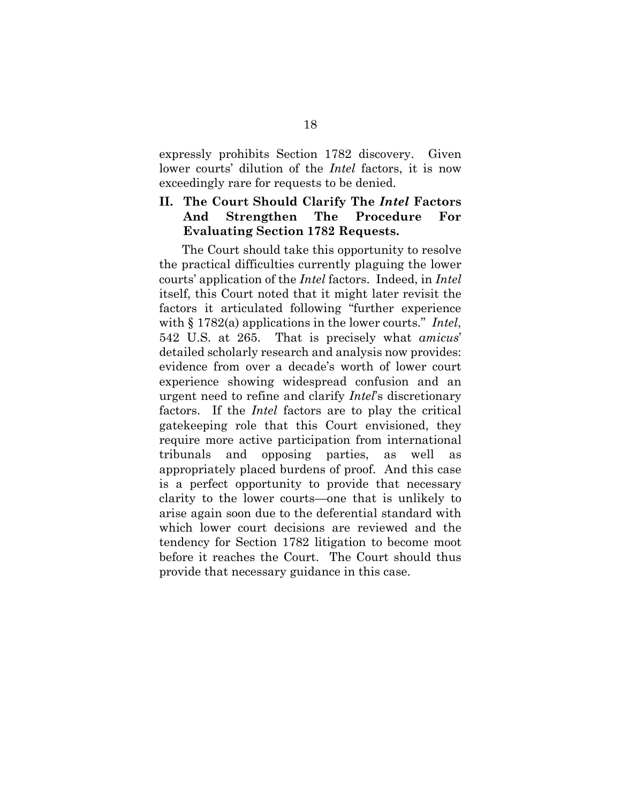expressly prohibits Section 1782 discovery. Given lower courts' dilution of the *Intel* factors, it is now exceedingly rare for requests to be denied.

## **II. The Court Should Clarify The** *Intel* **Factors And Strengthen The Procedure For Evaluating Section 1782 Requests.**

The Court should take this opportunity to resolve the practical difficulties currently plaguing the lower courts' application of the *Intel* factors. Indeed, in *Intel* itself, this Court noted that it might later revisit the factors it articulated following "further experience with § 1782(a) applications in the lower courts." *Intel*, 542 U.S. at 265. That is precisely what *amicus*' detailed scholarly research and analysis now provides: evidence from over a decade's worth of lower court experience showing widespread confusion and an urgent need to refine and clarify *Intel*'s discretionary factors. If the *Intel* factors are to play the critical gatekeeping role that this Court envisioned, they require more active participation from international tribunals and opposing parties, as well as appropriately placed burdens of proof. And this case is a perfect opportunity to provide that necessary clarity to the lower courts—one that is unlikely to arise again soon due to the deferential standard with which lower court decisions are reviewed and the tendency for Section 1782 litigation to become moot before it reaches the Court. The Court should thus provide that necessary guidance in this case.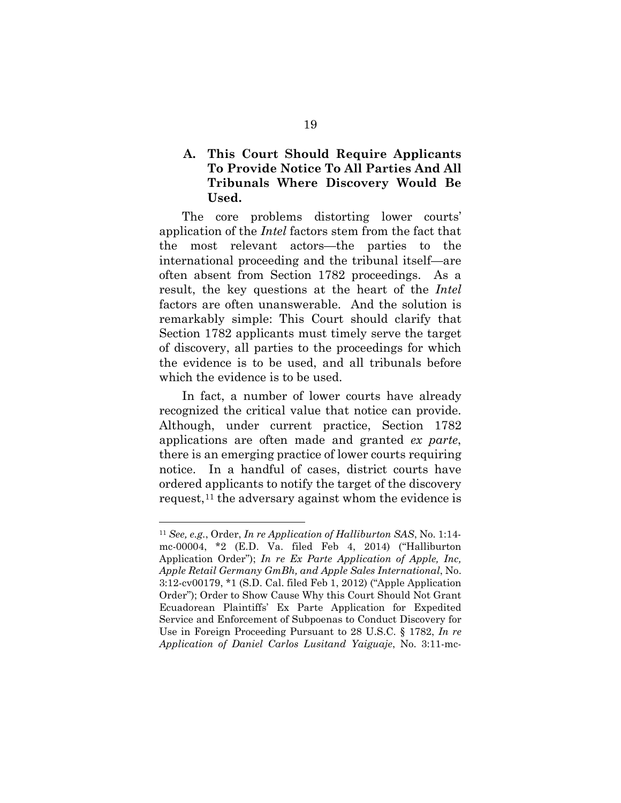## **A. This Court Should Require Applicants To Provide Notice To All Parties And All Tribunals Where Discovery Would Be Used.**

The core problems distorting lower courts' application of the *Intel* factors stem from the fact that the most relevant actors—the parties to the international proceeding and the tribunal itself—are often absent from Section 1782 proceedings. As a result, the key questions at the heart of the *Intel* factors are often unanswerable. And the solution is remarkably simple: This Court should clarify that Section 1782 applicants must timely serve the target of discovery, all parties to the proceedings for which the evidence is to be used, and all tribunals before which the evidence is to be used.

In fact, a number of lower courts have already recognized the critical value that notice can provide. Although, under current practice, Section 1782 applications are often made and granted *ex parte*, there is an emerging practice of lower courts requiring notice. In a handful of cases, district courts have ordered applicants to notify the target of the discovery request,[11](#page-27-0) the adversary against whom the evidence is

<span id="page-27-0"></span><sup>11</sup> *See, e.g.*, Order, *In re Application of Halliburton SAS*, No. 1:14 mc-00004, \*2 (E.D. Va. filed Feb 4, 2014) ("Halliburton Application Order"); *In re Ex Parte Application of Apple, Inc, Apple Retail Germany GmBh, and Apple Sales International*, No. 3:12-cv00179, \*1 (S.D. Cal. filed Feb 1, 2012) ("Apple Application Order"); Order to Show Cause Why this Court Should Not Grant Ecuadorean Plaintiffs' Ex Parte Application for Expedited Service and Enforcement of Subpoenas to Conduct Discovery for Use in Foreign Proceeding Pursuant to 28 U.S.C. § 1782, *In re Application of Daniel Carlos Lusitand Yaiguaje*, No. 3:11-mc-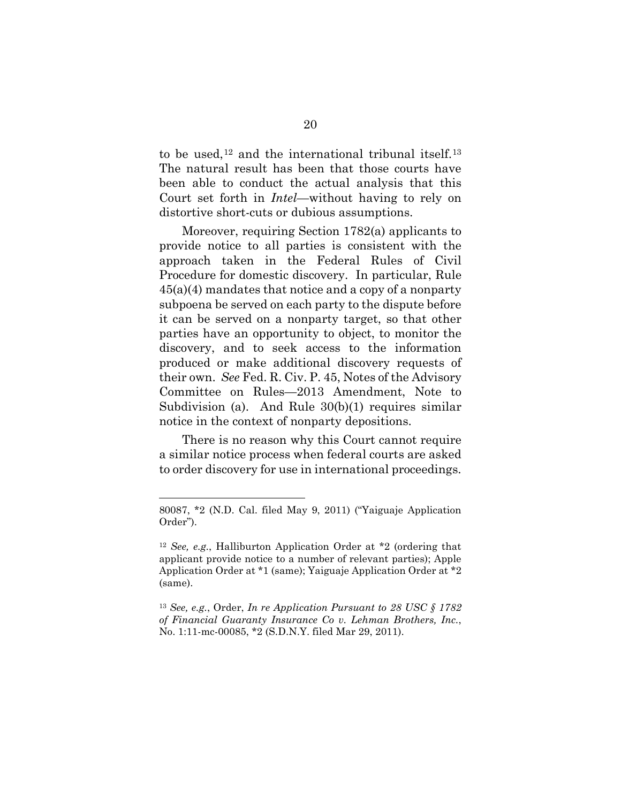to be used,<sup>[12](#page-28-0)</sup> and the international tribunal itself.<sup>[13](#page-28-1)</sup> The natural result has been that those courts have been able to conduct the actual analysis that this Court set forth in *Intel*—without having to rely on distortive short-cuts or dubious assumptions.

Moreover, requiring Section 1782(a) applicants to provide notice to all parties is consistent with the approach taken in the Federal Rules of Civil Procedure for domestic discovery. In particular, Rule 45(a)(4) mandates that notice and a copy of a nonparty subpoena be served on each party to the dispute before it can be served on a nonparty target, so that other parties have an opportunity to object, to monitor the discovery, and to seek access to the information produced or make additional discovery requests of their own. *See* Fed. R. Civ. P. 45, Notes of the Advisory Committee on Rules—2013 Amendment, Note to Subdivision (a). And Rule 30(b)(1) requires similar notice in the context of nonparty depositions.

There is no reason why this Court cannot require a similar notice process when federal courts are asked to order discovery for use in international proceedings.

<sup>80087, \*2 (</sup>N.D. Cal. filed May 9, 2011) ("Yaiguaje Application Order").

<span id="page-28-0"></span><sup>12</sup> *See, e.g.*, Halliburton Application Order at \*2 (ordering that applicant provide notice to a number of relevant parties); Apple Application Order at \*1 (same); Yaiguaje Application Order at \*2 (same).

<span id="page-28-1"></span><sup>13</sup> *See, e.g.*, Order, *In re Application Pursuant to 28 USC § 1782 of Financial Guaranty Insurance Co v. Lehman Brothers, Inc.*, No. 1:11-mc-00085, \*2 (S.D.N.Y. filed Mar 29, 2011).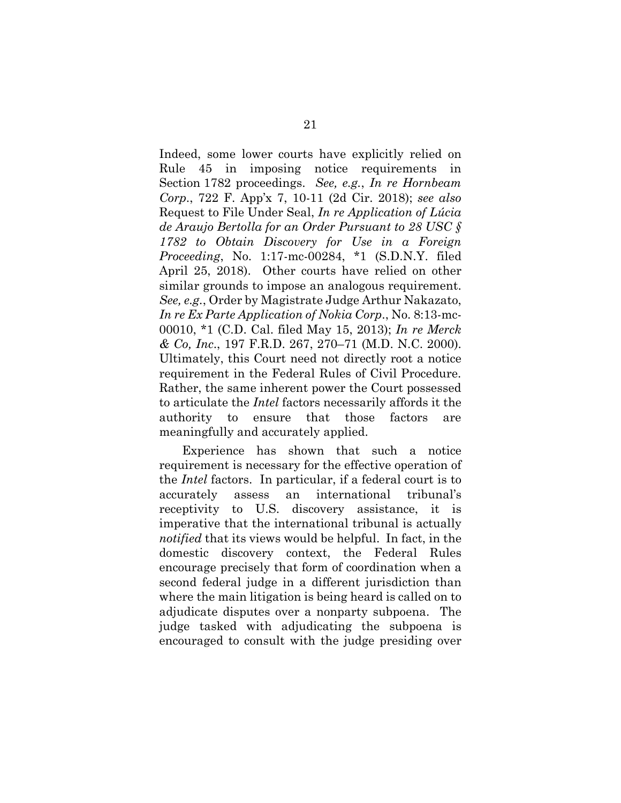Indeed, some lower courts have explicitly relied on Rule 45 in imposing notice requirements in Section 1782 proceedings. *See, e.g.*, *In re Hornbeam Corp*., 722 F. App'x 7, 10-11 (2d Cir. 2018); *see also*  Request to File Under Seal, *In re Application of Lúcia de Araujo Bertolla for an Order Pursuant to 28 USC § 1782 to Obtain Discovery for Use in a Foreign Proceeding*, No. 1:17-mc-00284, \*1 (S.D.N.Y. filed April 25, 2018). Other courts have relied on other similar grounds to impose an analogous requirement. *See, e.g.*, Order by Magistrate Judge Arthur Nakazato, *In re Ex Parte Application of Nokia Corp*., No. 8:13-mc-00010, \*1 (C.D. Cal. filed May 15, 2013); *In re Merck & Co, Inc*., 197 F.R.D. 267, 270–71 (M.D. N.C. 2000). Ultimately, this Court need not directly root a notice requirement in the Federal Rules of Civil Procedure. Rather, the same inherent power the Court possessed to articulate the *Intel* factors necessarily affords it the authority to ensure that those factors are meaningfully and accurately applied.

Experience has shown that such a notice requirement is necessary for the effective operation of the *Intel* factors. In particular, if a federal court is to accurately assess an international tribunal's receptivity to U.S. discovery assistance, it is imperative that the international tribunal is actually *notified* that its views would be helpful. In fact, in the domestic discovery context, the Federal Rules encourage precisely that form of coordination when a second federal judge in a different jurisdiction than where the main litigation is being heard is called on to adjudicate disputes over a nonparty subpoena. The judge tasked with adjudicating the subpoena is encouraged to consult with the judge presiding over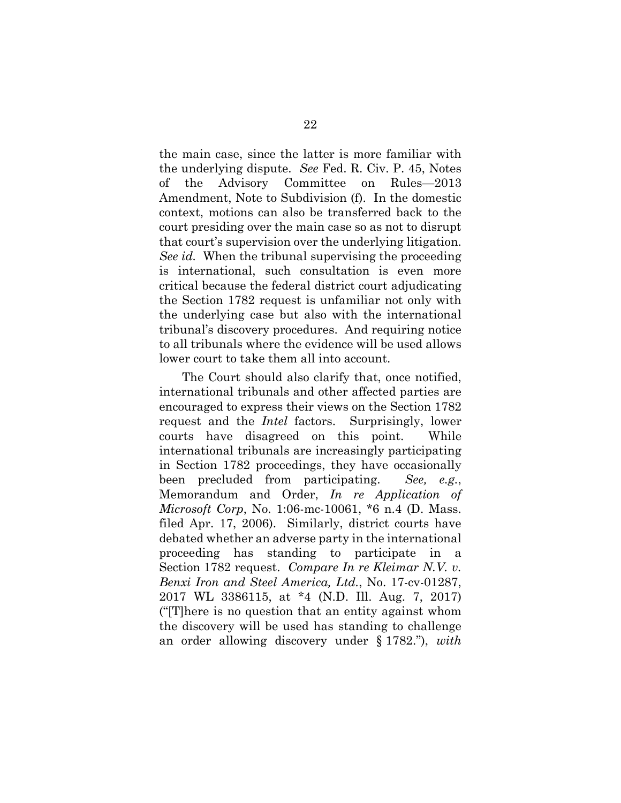the main case, since the latter is more familiar with the underlying dispute. *See* Fed. R. Civ. P. 45, Notes of the Advisory Committee on Rules—2013 Amendment, Note to Subdivision (f). In the domestic context, motions can also be transferred back to the court presiding over the main case so as not to disrupt that court's supervision over the underlying litigation. *See id.* When the tribunal supervising the proceeding is international, such consultation is even more critical because the federal district court adjudicating the Section 1782 request is unfamiliar not only with the underlying case but also with the international tribunal's discovery procedures. And requiring notice to all tribunals where the evidence will be used allows lower court to take them all into account.

The Court should also clarify that, once notified, international tribunals and other affected parties are encouraged to express their views on the Section 1782 request and the *Intel* factors. Surprisingly, lower courts have disagreed on this point. While international tribunals are increasingly participating in Section 1782 proceedings, they have occasionally been precluded from participating. *See, e.g.*, Memorandum and Order, *In re Application of Microsoft Corp*, No. 1:06-mc-10061, \*6 n.4 (D. Mass. filed Apr. 17, 2006). Similarly, district courts have debated whether an adverse party in the international proceeding has standing to participate in a Section 1782 request. *Compare In re Kleimar N.V. v. Benxi Iron and Steel America, Ltd.*, No. 17-cv-01287, 2017 WL 3386115, at \*4 (N.D. Ill. Aug. 7, 2017) ("[T]here is no question that an entity against whom the discovery will be used has standing to challenge an order allowing discovery under § 1782."), *with*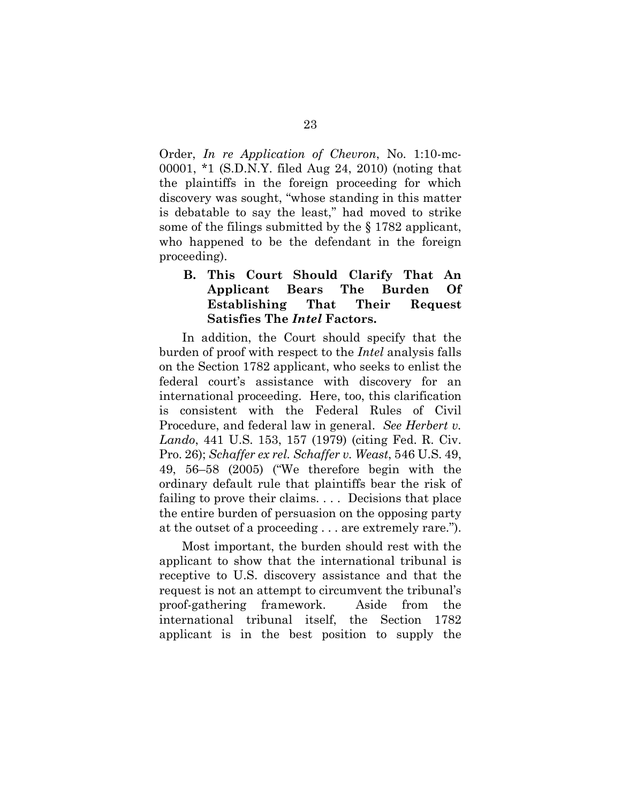Order, *In re Application of Chevron*, No. 1:10-mc-00001, \*1 (S.D.N.Y. filed Aug 24, 2010) (noting that the plaintiffs in the foreign proceeding for which discovery was sought, "whose standing in this matter is debatable to say the least," had moved to strike some of the filings submitted by the § 1782 applicant, who happened to be the defendant in the foreign proceeding).

## **B. This Court Should Clarify That An Applicant Bears The Burden Of Establishing That Their Request Satisfies The** *Intel* **Factors.**

In addition, the Court should specify that the burden of proof with respect to the *Intel* analysis falls on the Section 1782 applicant, who seeks to enlist the federal court's assistance with discovery for an international proceeding. Here, too, this clarification is consistent with the Federal Rules of Civil Procedure, and federal law in general. *See Herbert v. Lando*, 441 U.S. 153, 157 (1979) (citing Fed. R. Civ. Pro. 26); *Schaffer ex rel. Schaffer v. Weast*, 546 U.S. 49, 49, 56–58 (2005) ("We therefore begin with the ordinary default rule that plaintiffs bear the risk of failing to prove their claims. . . . Decisions that place the entire burden of persuasion on the opposing party at the outset of a proceeding . . . are extremely rare.").

Most important, the burden should rest with the applicant to show that the international tribunal is receptive to U.S. discovery assistance and that the request is not an attempt to circumvent the tribunal's proof-gathering framework. Aside from the international tribunal itself, the Section 1782 applicant is in the best position to supply the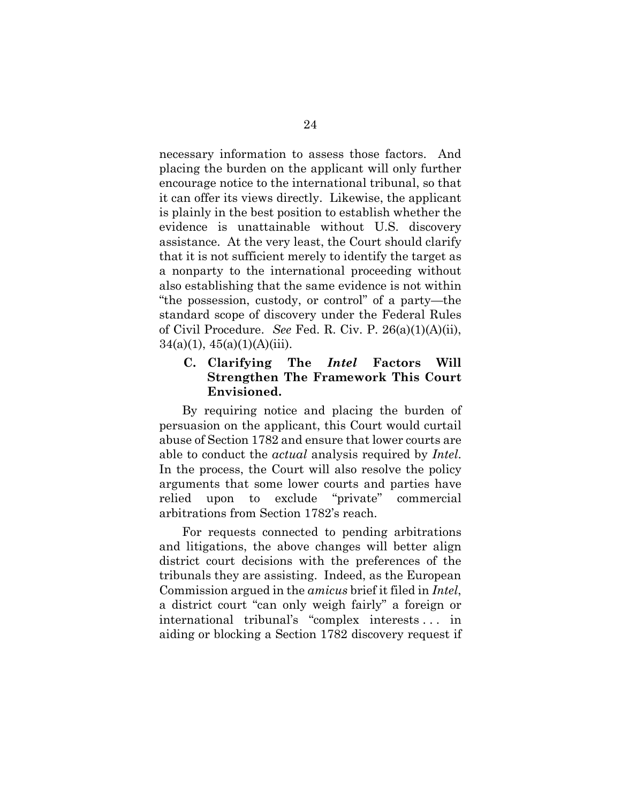necessary information to assess those factors. And placing the burden on the applicant will only further encourage notice to the international tribunal, so that it can offer its views directly. Likewise, the applicant is plainly in the best position to establish whether the evidence is unattainable without U.S. discovery assistance. At the very least, the Court should clarify that it is not sufficient merely to identify the target as a nonparty to the international proceeding without also establishing that the same evidence is not within "the possession, custody, or control" of a party—the standard scope of discovery under the Federal Rules of Civil Procedure. *See* Fed. R. Civ. P. 26(a)(1)(A)(ii),  $34(a)(1), 45(a)(1)(A)(iii)$ .

## **C. Clarifying The** *Intel* **Factors Will Strengthen The Framework This Court Envisioned.**

By requiring notice and placing the burden of persuasion on the applicant, this Court would curtail abuse of Section 1782 and ensure that lower courts are able to conduct the *actual* analysis required by *Intel*. In the process, the Court will also resolve the policy arguments that some lower courts and parties have relied upon to exclude "private" commercial arbitrations from Section 1782's reach.

For requests connected to pending arbitrations and litigations, the above changes will better align district court decisions with the preferences of the tribunals they are assisting. Indeed, as the European Commission argued in the *amicus* brief it filed in *Intel*, a district court "can only weigh fairly" a foreign or international tribunal's "complex interests . . . in aiding or blocking a Section 1782 discovery request if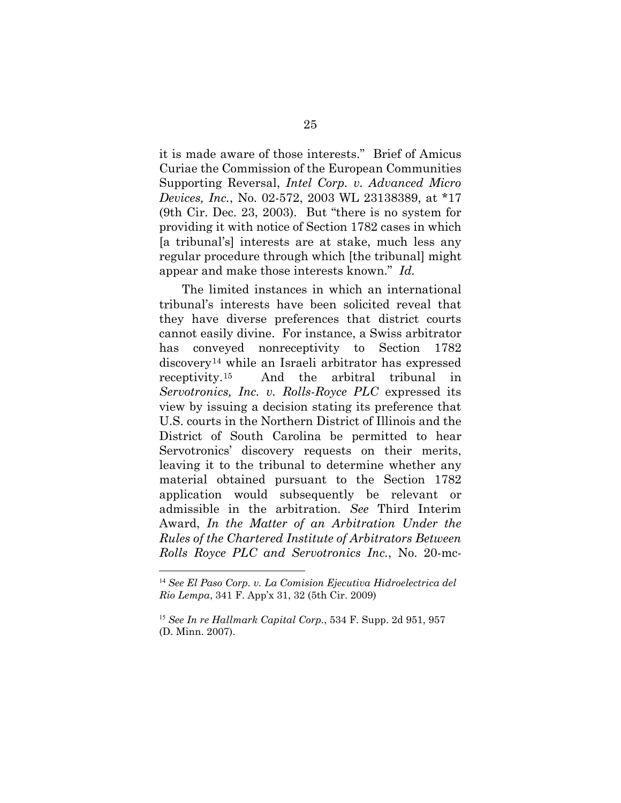it is made aware of those interests." Brief of Amicus Curiae the Commission of the European Communities Supporting Reversal, *Intel Corp. v. Advanced Micro Devices, Inc.*, No. 02-572, 2003 WL 23138389, at \*17 (9th Cir. Dec. 23, 2003). But "there is no system for providing it with notice of Section 1782 cases in which [a tribunal's] interests are at stake, much less any regular procedure through which [the tribunal] might appear and make those interests known." *Id.*

The limited instances in which an international tribunal's interests have been solicited reveal that they have diverse preferences that district courts cannot easily divine. For instance, a Swiss arbitrator has conveyed nonreceptivity to Section 1782 discovery[14](#page-33-0) while an Israeli arbitrator has expressed receptivity.[15](#page-33-1) And the arbitral tribunal in *Servotronics, Inc. v. Rolls-Royce PLC* expressed its view by issuing a decision stating its preference that U.S. courts in the Northern District of Illinois and the District of South Carolina be permitted to hear Servotronics' discovery requests on their merits, leaving it to the tribunal to determine whether any material obtained pursuant to the Section 1782 application would subsequently be relevant or admissible in the arbitration. *See* Third Interim Award, *In the Matter of an Arbitration Under the Rules of the Chartered Institute of Arbitrators Between Rolls Royce PLC and Servotronics Inc.*, No. 20-mc-

<span id="page-33-0"></span><sup>14</sup> *See El Paso Corp. v. La Comision Ejecutiva Hidroelectrica del Rio Lempa*, 341 F. App'x 31, 32 (5th Cir. 2009)

<span id="page-33-1"></span><sup>15</sup> *See In re Hallmark Capital Corp.*, 534 F. Supp. 2d 951, 957 (D. Minn. 2007).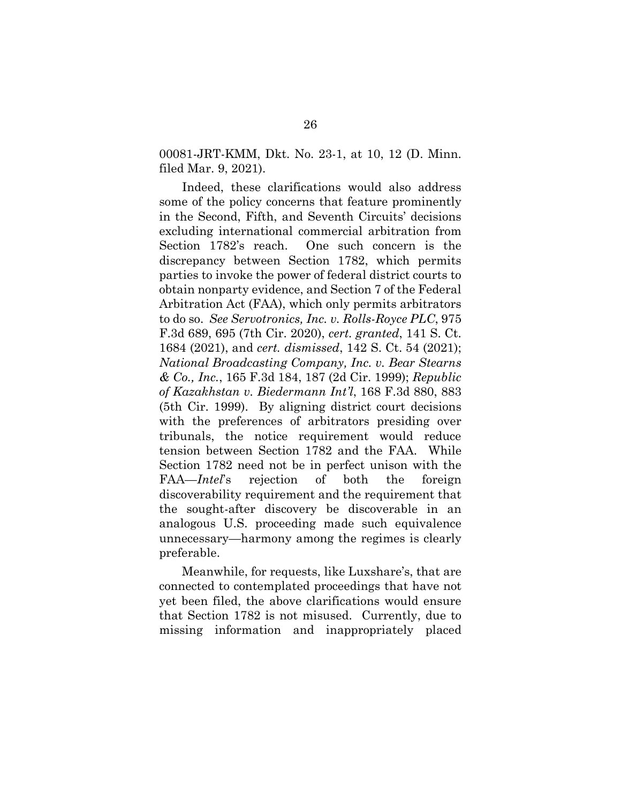00081-JRT-KMM, Dkt. No. 23-1, at 10, 12 (D. Minn. filed Mar. 9, 2021).

Indeed, these clarifications would also address some of the policy concerns that feature prominently in the Second, Fifth, and Seventh Circuits' decisions excluding international commercial arbitration from Section 1782's reach. One such concern is the discrepancy between Section 1782, which permits parties to invoke the power of federal district courts to obtain nonparty evidence, and Section 7 of the Federal Arbitration Act (FAA), which only permits arbitrators to do so. *See Servotronics, Inc. v. Rolls-Royce PLC*, 975 F.3d 689, 695 (7th Cir. 2020), *cert. granted*, 141 S. Ct. 1684 (2021), and *cert. dismissed*, 142 S. Ct. 54 (2021); *National Broadcasting Company, Inc. v. Bear Stearns & Co., Inc.*, 165 F.3d 184, 187 (2d Cir. 1999); *Republic of Kazakhstan v. Biedermann Int'l*, 168 F.3d 880, 883 (5th Cir. 1999). By aligning district court decisions with the preferences of arbitrators presiding over tribunals, the notice requirement would reduce tension between Section 1782 and the FAA. While Section 1782 need not be in perfect unison with the FAA—*Intel*'s rejection of both the foreign discoverability requirement and the requirement that the sought-after discovery be discoverable in an analogous U.S. proceeding made such equivalence unnecessary—harmony among the regimes is clearly preferable.

Meanwhile, for requests, like Luxshare's, that are connected to contemplated proceedings that have not yet been filed, the above clarifications would ensure that Section 1782 is not misused. Currently, due to missing information and inappropriately placed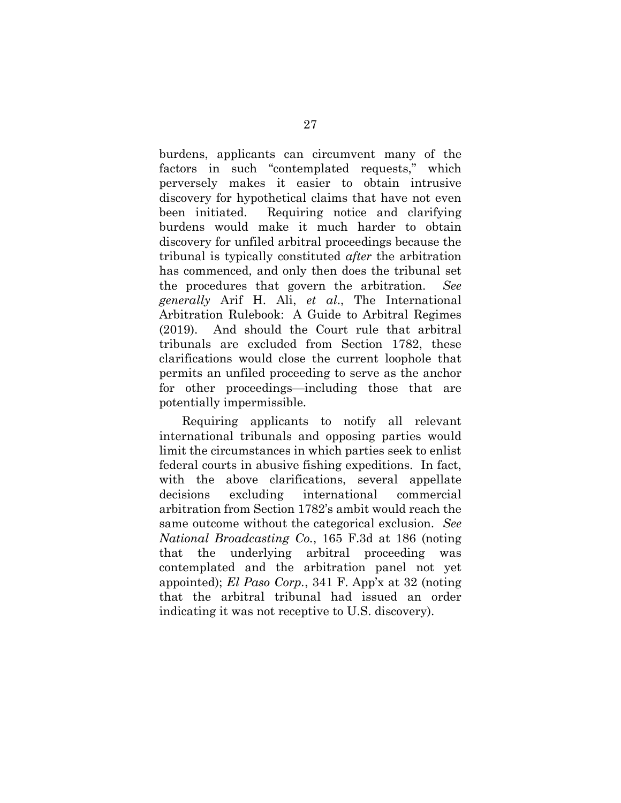burdens, applicants can circumvent many of the factors in such "contemplated requests," which perversely makes it easier to obtain intrusive discovery for hypothetical claims that have not even been initiated. Requiring notice and clarifying burdens would make it much harder to obtain discovery for unfiled arbitral proceedings because the tribunal is typically constituted *after* the arbitration has commenced, and only then does the tribunal set the procedures that govern the arbitration. *See generally* Arif H. Ali, *et al*., The International Arbitration Rulebook: A Guide to Arbitral Regimes (2019). And should the Court rule that arbitral tribunals are excluded from Section 1782, these clarifications would close the current loophole that permits an unfiled proceeding to serve as the anchor for other proceedings—including those that are potentially impermissible.

Requiring applicants to notify all relevant international tribunals and opposing parties would limit the circumstances in which parties seek to enlist federal courts in abusive fishing expeditions. In fact, with the above clarifications, several appellate decisions excluding international commercial arbitration from Section 1782's ambit would reach the same outcome without the categorical exclusion. *See National Broadcasting Co.*, 165 F.3d at 186 (noting that the underlying arbitral proceeding was contemplated and the arbitration panel not yet appointed); *El Paso Corp.*, 341 F. App'x at 32 (noting that the arbitral tribunal had issued an order indicating it was not receptive to U.S. discovery).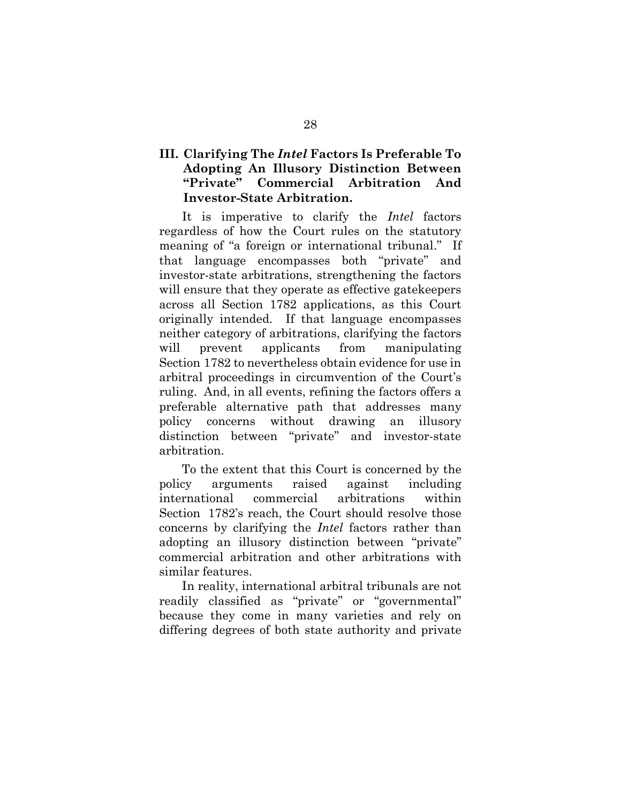## **III. Clarifying The** *Intel* **Factors Is Preferable To Adopting An Illusory Distinction Between "Private" Commercial Arbitration And Investor-State Arbitration.**

It is imperative to clarify the *Intel* factors regardless of how the Court rules on the statutory meaning of "a foreign or international tribunal." If that language encompasses both "private" and investor-state arbitrations, strengthening the factors will ensure that they operate as effective gatekeepers across all Section 1782 applications, as this Court originally intended. If that language encompasses neither category of arbitrations, clarifying the factors will prevent applicants from manipulating Section 1782 to nevertheless obtain evidence for use in arbitral proceedings in circumvention of the Court's ruling. And, in all events, refining the factors offers a preferable alternative path that addresses many policy concerns without drawing an illusory distinction between "private" and investor-state arbitration.

To the extent that this Court is concerned by the policy arguments raised against including international commercial arbitrations within Section 1782's reach, the Court should resolve those concerns by clarifying the *Intel* factors rather than adopting an illusory distinction between "private" commercial arbitration and other arbitrations with similar features.

In reality, international arbitral tribunals are not readily classified as "private" or "governmental" because they come in many varieties and rely on differing degrees of both state authority and private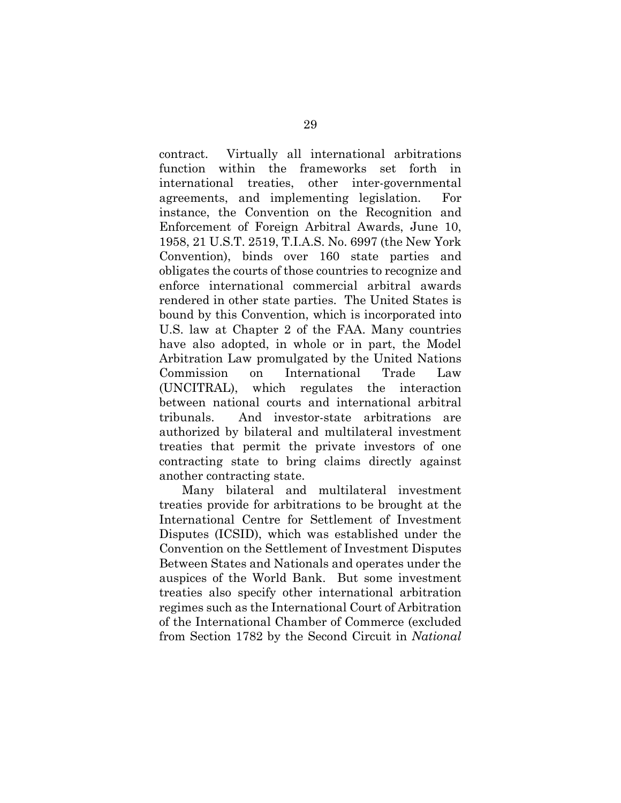contract. Virtually all international arbitrations function within the frameworks set forth in international treaties, other inter-governmental agreements, and implementing legislation. For instance, the Convention on the Recognition and Enforcement of Foreign Arbitral Awards, June 10, 1958, 21 U.S.T. 2519, T.I.A.S. No. 6997 (the New York Convention), binds over 160 state parties and obligates the courts of those countries to recognize and enforce international commercial arbitral awards rendered in other state parties. The United States is bound by this Convention, which is incorporated into U.S. law at Chapter 2 of the FAA. Many countries have also adopted, in whole or in part, the Model Arbitration Law promulgated by the United Nations Commission on International Trade Law (UNCITRAL), which regulates the interaction between national courts and international arbitral tribunals. And investor-state arbitrations are authorized by bilateral and multilateral investment treaties that permit the private investors of one contracting state to bring claims directly against another contracting state.

Many bilateral and multilateral investment treaties provide for arbitrations to be brought at the International Centre for Settlement of Investment Disputes (ICSID), which was established under the Convention on the Settlement of Investment Disputes Between States and Nationals and operates under the auspices of the World Bank. But some investment treaties also specify other international arbitration regimes such as the International Court of Arbitration of the International Chamber of Commerce (excluded from Section 1782 by the Second Circuit in *National*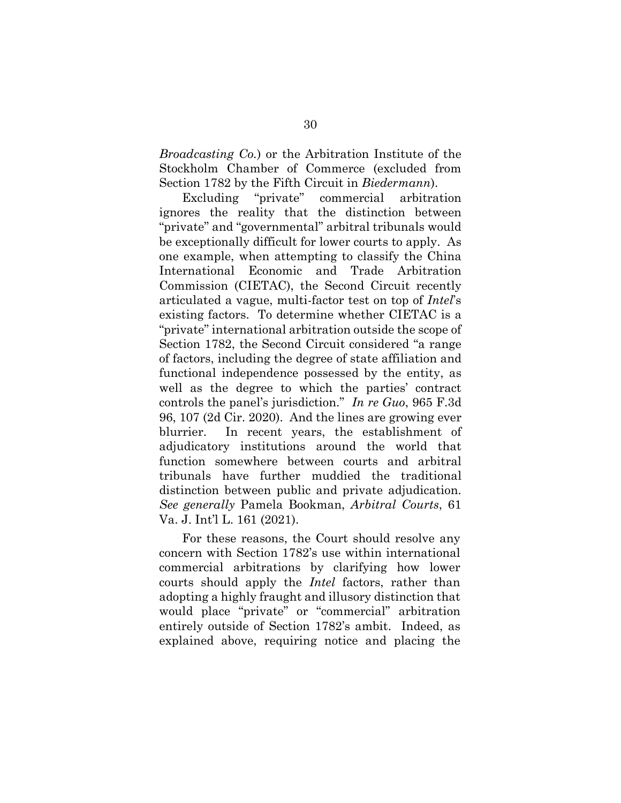*Broadcasting Co.*) or the Arbitration Institute of the Stockholm Chamber of Commerce (excluded from Section 1782 by the Fifth Circuit in *Biedermann*).

Excluding "private" commercial arbitration ignores the reality that the distinction between "private" and "governmental" arbitral tribunals would be exceptionally difficult for lower courts to apply. As one example, when attempting to classify the China International Economic and Trade Arbitration Commission (CIETAC), the Second Circuit recently articulated a vague, multi-factor test on top of *Intel*'s existing factors. To determine whether CIETAC is a "private" international arbitration outside the scope of Section 1782, the Second Circuit considered "a range of factors, including the degree of state affiliation and functional independence possessed by the entity, as well as the degree to which the parties' contract controls the panel's jurisdiction." *In re Guo*, 965 F.3d 96, 107 (2d Cir. 2020). And the lines are growing ever blurrier. In recent years, the establishment of adjudicatory institutions around the world that function somewhere between courts and arbitral tribunals have further muddied the traditional distinction between public and private adjudication. *See generally* Pamela Bookman, *Arbitral Courts*, 61 Va. J. Int'l L. 161 (2021).

For these reasons, the Court should resolve any concern with Section 1782's use within international commercial arbitrations by clarifying how lower courts should apply the *Intel* factors, rather than adopting a highly fraught and illusory distinction that would place "private" or "commercial" arbitration entirely outside of Section 1782's ambit. Indeed, as explained above, requiring notice and placing the